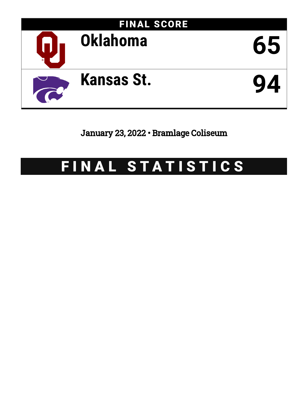

January 23, 2022 • Bramlage Coliseum

# FINAL STATISTICS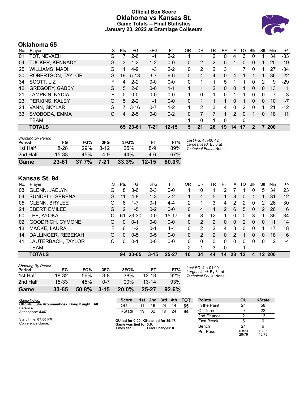### **Official Box Score Oklahoma vs Kansas St. Game Totals -- Final Statistics January 23, 2022 at Bramlage Coliseum**



# **Oklahoma 65**

| No. | Plaver                 | S | <b>Pts</b> | FG       | 3FG      | FТ        | OR       | DR | TR             | PF       | A  | TO | <b>B</b> lk  | Stl      | Min        | $+/-$ |
|-----|------------------------|---|------------|----------|----------|-----------|----------|----|----------------|----------|----|----|--------------|----------|------------|-------|
| 01  | TOT, NEVAEH            | G |            | 2-6      | 1-1      | $2 - 2$   |          |    | 2              | 0        | 4  | 3  | 0            |          | 34         | $-33$ |
| 04  | <b>TUCKER, KENNADY</b> | G | 3          | $1 - 2$  | $1 - 2$  | $0 - 0$   | 0        | 2  | $\overline{2}$ | 5        |    | 0  | $\mathbf{0}$ |          | 25         | $-19$ |
| 25  | WILLIAMS, MADI         | G | 11         | $4-9$    | 1-3      | $2 - 2$   | 0        | 2  | 2              | 3        |    |    | 0            |          | 27         | -34   |
| 30  | ROBERTSON, TAYLOR      | G | 19         | $5 - 13$ | $3 - 7$  | $6-6$     | $\Omega$ | 4  | $\overline{4}$ | $\Omega$ | 4  |    |              |          | 36         | $-22$ |
| 34  | SCOTT, LIZ             | F | 4          | $2 - 2$  | $0 - 0$  | $0 - 0$   | $\Omega$ | 1  | 1              | 5        | 1  |    | 0            | 2        | 9          | $-29$ |
| 12  | <b>GREGORY, GABBY</b>  | G | 5          | $2 - 6$  | $0 - 0$  | $1 - 1$   |          |    | $\overline{2}$ | $\Omega$ | 0  |    | $\Omega$     | $\Omega$ | 13         | 1     |
| 21  | LAMPKIN, NYDIA         | F | 0          | $0 - 0$  | $0 - 0$  | $0 - 0$   |          | 0  |                | 0        |    |    | 0            | 0        |            | -3    |
| 23  | PERKINS, KALEY         | G | 5          | $2 - 2$  | $1 - 1$  | $0 - 0$   | 0        |    |                |          | 0  |    | 0            | 0        | 10         | $-7$  |
| 24  | VANN, SKYLAR           | G |            | $3 - 16$ | $0 - 7$  | $1 - 2$   | 1        | 2  | 3              | 4        | 0  | 2  | 0            |          | 21         | $-12$ |
| 33  | SVOBODA, EMMA          | С | 4          | $2 - 5$  | $0 - 0$  | $0 - 2$   | 0        |    |                |          | 2  | 0  |              | 0        | 18         | 11    |
|     | <b>TEAM</b>            |   |            |          |          |           | 1        | 0  | 1              | $\Omega$ |    | 0  |              |          |            |       |
|     | <b>TOTALS</b>          |   | 65         | 23-61    | $7 - 21$ | $12 - 15$ | 5        | 21 | 26             | 19       | 14 | 17 | 2            |          | <b>200</b> |       |

| Game                                | $23 - 61$ | 37.7% | $7 - 21$ | 33.3% | $12 - 15$ | 80.0% |                                             |
|-------------------------------------|-----------|-------|----------|-------|-----------|-------|---------------------------------------------|
| 2nd Half                            | 15-33     | 45%   | $4 - 9$  | 44%   | 4-6       | 67%   |                                             |
| 1st Half                            | $8-28$    | 29%   | $3 - 12$ | 25%   | 8-9       | 89%   | Technical Fouls: None.                      |
| <b>Shooting By Period</b><br>Period | FG        | FG%   | 3FG      | 3FG%  | FТ        | FT%   | Last FG: 4th-00:42<br>Largest lead: By 0 at |

# **Kansas St. 94**

| No. | Plaver               | S  | Pts           | FG       | 3FG      | FT      | OR       | DR | TR             | PF       | A  | TO       | <b>B</b> lk | Stl      | Min        | $+/-$ |
|-----|----------------------|----|---------------|----------|----------|---------|----------|----|----------------|----------|----|----------|-------------|----------|------------|-------|
| 03  | <b>GLENN, JAELYN</b> | G  | 8             | $3-6$    | $2 - 3$  | $0 - 0$ | 1        | 10 | 11             | 2        |    |          | 0           | 5        | 34         | 23    |
| 04  | SUNDELL, SERENA      | G  | 11            | $4 - 8$  | $1 - 3$  | $2 - 2$ |          | 4  | 5              |          | 8  | $\Omega$ |             |          | 31         | 12    |
| 05  | <b>GLENN, BRYLEE</b> | G  | 6             | $1 - 7$  | $0 - 1$  | $4 - 4$ | 2        |    | 3              | 4        | 2  | 2        | 0           | 2        | 26         | 30    |
| 24  | <b>EBERT, EMILEE</b> | G  | $\mathcal{P}$ | $1 - 5$  | $0 - 2$  | $0 - 0$ | 0        | 4  | 4              | 2        | 6  | 5        | 0           | 2        | 26         | 6     |
| 50  | LEE, AYOKA           |    | 61            | 23-30    | $0 - 0$  | 15-17   | 4        | 8  | 12             |          | 0  | 0        | 3           |          | 35         | 34    |
| 02  | GOODRICH, CYMONE     | G  | 0             | $0 - 1$  | $0 - 0$  | $0 - 0$ | $\Omega$ | 2  | $\overline{2}$ | 0        | 0  | 2        | 0           | 0        | 11         | 14    |
| 13  | MACKE, LAURA         | F. | 6             | $1 - 2$  | $0 - 1$  | 4-4     | 0        | 2  | 2              | 4        | 3  | $\Omega$ | 0           |          | 17         | 18    |
| 14  | DALLINGER, REBEKAH   | G  | 0             | $0 - 5$  | $0 - 5$  | $0 - 0$ | 0        | 2  | $\overline{2}$ | $\Omega$ | 2  |          | 0           | $\Omega$ | 18         | 6     |
| 41  | LAUTERBACH, TAYLOR   | С  | 0             | $0 - 1$  | $0 - 0$  | $0 - 0$ | 0        | 0  | 0              | $\Omega$ | 0  | $\Omega$ | 0           | $\Omega$ | 2          | $-4$  |
|     | <b>TEAM</b>          |    |               |          |          |         | 2        |    | 3              | $\Omega$ |    | 1        |             |          |            |       |
|     | <b>TOTALS</b>        |    |               | 94 33-65 | $3 - 15$ | 25-27   | 10       | 34 | 44             | 14       | 28 | 12       | 4           | 12.      | <b>200</b> |       |

| Game                                | 33-65   | 50.8% | $3 - 15$ | 20.0%  | 25-27     | 92.6% |    |
|-------------------------------------|---------|-------|----------|--------|-----------|-------|----|
| 2nd Half                            | $15-33$ | 45%   | 0-7      | $00\%$ | $13 - 14$ | 93%   |    |
| 1st Half                            | 18-32   | .56%  | $3-8$    | 38%    | $12 - 13$ | 92%   | Тc |
| <b>Shooting By Period</b><br>Period | FG      | FG%   | 3FG      | 3FG%   | FT        | FT%   | Lε |

*Last FG:* 4th-01:00 *Largest lead:* By 31 at *Technical Fouls:* None.

| Game Notes:                                                | <b>Score</b> |      |    |     |     | 1st 2nd 3rd 4th TOT | Point  |
|------------------------------------------------------------|--------------|------|----|-----|-----|---------------------|--------|
| Officials: Julie Krommenhoek, Doug Knight, Bill<br>Larance | ΩU           |      | 16 | -24 | 14  | 65                  | In the |
| Attendance: 4347                                           | KState       | 19 . | 32 | 19  | -24 | 94                  | Off Ti |
|                                                            |              |      |    |     |     |                     | and C  |

| Start Time: 07:00 PM |  |
|----------------------|--|
| Conference Game:     |  |

**OU led for 0:00. KState led for 39:47. Game was tied for 0:0.** Times tied: **0** Lead Changes: **0**

| <b>Points</b>     | OU             | <b>KState</b>  |
|-------------------|----------------|----------------|
| In the Paint      | 24             | 58             |
| Off Turns         | g              | 22             |
| 2nd Chance        | 2              | 13             |
| <b>Fast Break</b> | 5              | 6              |
| Bench             | 21             | հ              |
| Per Poss          | 0.823<br>29/79 | 1.205<br>46/78 |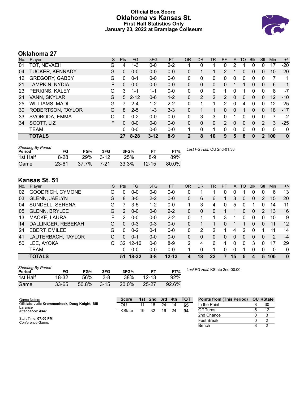### **Official Box Score Oklahoma vs Kansas St. First Half Statistics Only January 23, 2022 at Bramlage Coliseum**



# **Oklahoma 27**

| No. | Player                 | S  | <b>Pts</b>  | FG       | 3FG      | <b>FT</b> | <b>OR</b>    | <b>DR</b>      | TR            | PF            | A        | TO | <b>B</b> lk    | Stl            | Min | $+/-$        |
|-----|------------------------|----|-------------|----------|----------|-----------|--------------|----------------|---------------|---------------|----------|----|----------------|----------------|-----|--------------|
| 01  | TOT, NEVAEH            | G  | 4           | $1 - 3$  | $0 - 0$  | $2 - 2$   |              | 0              |               | 0             | 2        |    | 0              | Ω              | 17  | $-20$        |
| 04  | <b>TUCKER, KENNADY</b> | G  | 0           | $0-0$    | $0 - 0$  | $0 - 0$   | 0            |                |               | 2             |          | 0  | $\overline{0}$ | 0              | 10  | $-20$        |
| 12  | <b>GREGORY, GABBY</b>  | G  | 0           | 0-1      | $0 - 0$  | $0-0$     | 0            | 0              | 0             | 0             | 0        | 0  | 0              | 0              |     | 1            |
| 21  | LAMPKIN, NYDIA         | F  | 0           | $0 - 0$  | $0 - 0$  | $0 - 0$   | 0            | 0              | $\Omega$      | 0             | 1        |    | 0              | 0              | 6   | $-1$         |
| 23  | PERKINS, KALEY         | G  | 3           | $1 - 1$  | $1 - 1$  | $0 - 0$   | $\Omega$     | 0              | 0             |               | $\Omega$ |    | 0              | $\Omega$       | 8   | $-7$         |
| 24  | VANN, SKYLAR           | G  | $5^{\circ}$ | $2 - 12$ | $0 - 6$  | $1 - 2$   | 0            | $\overline{2}$ | $\mathcal{P}$ | $\mathcal{P}$ | $\Omega$ | 0  | $\mathbf{0}$   | 0              | 12  | $-10$        |
| 25  | <b>WILLIAMS, MADI</b>  | G  |             | $2 - 4$  | 1-2      | $2 - 2$   | $\Omega$     |                |               | $\mathcal{P}$ | 0        | 4  | 0              | 0              | 12  | $-25$        |
| 30  | ROBERTSON, TAYLOR      | G  | 8           | $2 - 5$  | $1 - 3$  | $3 - 3$   | $\Omega$     |                |               | 0             | $\Omega$ |    | $\Omega$       | 0              | 18  | $-17$        |
| 33  | SVOBODA, EMMA          | C  | $\Omega$    | $0 - 2$  | $0 - 0$  | $0 - 0$   | $\mathbf{0}$ | 3              | 3             | 0             |          | 0  | 0              | 0              | 7   | 2            |
| 34  | SCOTT, LIZ             | F. | 0           | $0 - 0$  | $0 - 0$  | $0 - 0$   | 0            | 0              | $\mathbf{0}$  | 2             | $\Omega$ | 0  | $\Omega$       | 2              | 3   | $-25$        |
|     | <b>TEAM</b>            |    | 0           | $0 - 0$  | $0 - 0$  | $0 - 0$   | 1            | 0              |               | 0             | 0        | 0  | 0              | 0              | 0   | 0            |
|     | <b>TOTALS</b>          |    | 27          | $8 - 28$ | $3 - 12$ | $8-9$     | $\mathbf{2}$ | 8              | 10            | 9             | 5        | 8  | 0              | $\overline{2}$ | 100 | $\mathbf{0}$ |

| <b>Shooting By Period</b><br>Period | FG        | FG%   | 3FG      | 3FG%     |           | FT%   | Last FG Half: OU 2nd-01:38 |
|-------------------------------------|-----------|-------|----------|----------|-----------|-------|----------------------------|
| 1st Half                            | 8-28      | 29%   | $3 - 12$ | 25%      | 8-9       | 89%   |                            |
| Game                                | $23 - 61$ | 37.7% | 7-21     | $33.3\%$ | $12 - 15$ | 80.0% |                            |

# **Kansas St. 51**

| No. | Plaver               | S  | <b>Pts</b> | <b>FG</b> | 3FG     | <b>FT</b> | OR       | DR | TR | PF | A        | TO | <b>Blk</b>   | Stl      | Min           | $+/-$ |
|-----|----------------------|----|------------|-----------|---------|-----------|----------|----|----|----|----------|----|--------------|----------|---------------|-------|
| 02  | GOODRICH, CYMONE     | G  | 0          | 0-0       | $0 - 0$ | $0 - 0$   | 0        |    |    | 0  | 0        |    | 0            | 0        | 6             | 13    |
| 03  | <b>GLENN, JAELYN</b> | G  | 8          | $3 - 5$   | $2 - 2$ | $0 - 0$   | 0        | 6  | 6  |    | 3        | 0  | $\mathbf{0}$ | 2        | 15            | 20    |
| 04  | SUNDELL, SERENA      | G  |            | $3-5$     | 1-2     | $0 - 0$   | 1        | 3  | 4  | 0  | 5        | 0  |              | 0        | 14            | 11    |
| 05  | <b>GLENN, BRYLEE</b> | G  | 2          | $0 - 0$   | $0 - 0$ | $2 - 2$   | 0        | 0  | 0  |    |          | 0  | 0            | 2        | 13            | 16    |
| 13  | MACKE, LAURA         | F. | 2          | $0 - 0$   | $0 - 0$ | $2 - 2$   | $\Omega$ |    |    | 3  | 1        | 0  | 0            | $\Omega$ | 10            | 9     |
| 14  | DALLINGER, REBEKAH   | G  | 0          | $0 - 3$   | $0 - 3$ | $0 - 0$   | 0        |    |    | 0  | 1        |    | $\Omega$     | 0        | 11            | 12    |
| 24  | <b>EBERT, EMILEE</b> | G  | 0          | $0 - 2$   | $0 - 1$ | $0 - 0$   | 0        | 2  | 2  |    | 4        | 2  | $\Omega$     |          | 11            | 14    |
| 41  | LAUTERBACH, TAYLOR   | С  | 0          | $0 - 1$   | $0 - 0$ | $0 - 0$   | 0        | 0  | 0  | 0  | 0        | 0  | $\Omega$     | $\Omega$ | $\mathcal{P}$ | $-4$  |
| 50  | LEE, AYOKA           | С  | 32         | $12 - 16$ | $0 - 0$ | $8-9$     | 2        | 4  | 6  |    | $\Omega$ | 0  | 3            | 0        | 17            | 29    |
|     | <b>TEAM</b>          |    | 0          | $0 - 0$   | $0 - 0$ | $0 - 0$   |          | 0  |    | 0  | 0        |    | 0            | 0        | 0             | 0     |
|     | <b>TOTALS</b>        |    | 51         | $18 - 32$ | $3 - 8$ | $12 - 13$ | 4        | 18 | 22 | 7  | 15       | 5  | 4            | 5        | 100           | 0     |

| <b>Shooting By Period</b><br>Period | FG        | FG%   | 3FG      | 3FG%  | FТ        | FT%   |
|-------------------------------------|-----------|-------|----------|-------|-----------|-------|
| 1st Half                            | 18-32     | 56%   | 3-8      | 38%   | $12 - 13$ | 92%   |
| Game                                | $33 - 65$ | 50.8% | $3 - 15$ | 20.0% | $25 - 27$ | 92.6% |

*Last FG Half:* KState 2nd-00:00

| Game Notes:                                                | <b>Score</b> |    | 1st 2nd 3rd 4th |    |    | <b>- тот</b> | <b>Points from (This Period)</b> | <b>OU KState</b> |
|------------------------------------------------------------|--------------|----|-----------------|----|----|--------------|----------------------------------|------------------|
| Officials: Julie Krommenhoek, Doug Knight, Bill<br>Larance | OU           | 11 | 16              | 24 | 14 | 65           | In the Paint                     | 30               |
| Attendance: 4347                                           | KState       | 19 | 32              | 19 | 24 | 94           | Off Turns                        |                  |
|                                                            |              |    |                 |    |    |              | 2nd Chance                       |                  |
| Start Time: 07:00 PM<br>Conference Game:                   |              |    |                 |    |    |              | Fast Break                       |                  |
|                                                            |              |    |                 |    |    |              | Bench                            |                  |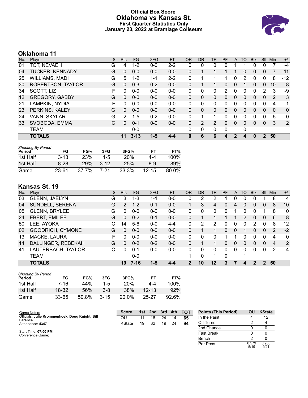### **Official Box Score Oklahoma vs Kansas St. First Quarter Statistics Only January 23, 2022 at Bramlage Coliseum**



# **Oklahoma 11**

| No. | Player                | S | <b>Pts</b>    | FG.      | 3FG     | <b>FT</b> | <b>OR</b> | <b>DR</b>      | TR             | PF       | A        | TO | <b>BIK</b> | Stl           | Min      | $+/-$        |
|-----|-----------------------|---|---------------|----------|---------|-----------|-----------|----------------|----------------|----------|----------|----|------------|---------------|----------|--------------|
| 01  | TOT, NEVAEH           | G | 4             | $1 - 2$  | $0 - 0$ | $2 - 2$   | 0         | 0              | 0              | 0        |          |    |            | 0             |          | -4           |
| 04  | TUCKER, KENNADY       | G | 0             | $0 - 0$  | $0 - 0$ | $0 - 0$   | 0         |                |                |          |          | 0  | 0          | 0             |          | $-11$        |
| 25  | WILLIAMS, MADI        | G | 5             | 1-2      | 1-1     | $2 - 2$   | 0         |                |                |          | 0        | 2  | 0          | 0             | 8        | -12          |
| 30  | ROBERTSON, TAYLOR     | G | 0             | $0 - 3$  | $0 - 2$ | $0 - 0$   | $\Omega$  |                |                | 0        | $\Omega$ |    | 0          | $\Omega$      | 10       | -8           |
| 34  | SCOTT, LIZ            | F | 0             | $0 - 0$  | $0 - 0$ | $0-0$     | 0         | $\Omega$       | 0              | 2        | 0        | 0  | $\Omega$   | $\mathcal{P}$ | 3        | -9           |
| 12  | <b>GREGORY, GABBY</b> | G | 0             | $0 - 0$  | $0 - 0$ | $0 - 0$   | $\Omega$  | $\Omega$       | 0              | $\Omega$ | $\Omega$ | 0  | $\Omega$   | $\Omega$      | 2        | 3            |
| 21  | LAMPKIN, NYDIA        | F | 0             | $0 - 0$  | $0 - 0$ | $0 - 0$   | 0         | $\Omega$       | 0              | 0        | 0        | 0  | 0          | 0             | 4        | -1           |
| 23  | PERKINS, KALEY        | G | 0             | $0 - 0$  | $0 - 0$ | $0 - 0$   | $\Omega$  | $\Omega$       | 0              | 0        | $\Omega$ | 0  | $\Omega$   | $\Omega$      | $\Omega$ | $\mathbf{0}$ |
| 24  | VANN, SKYLAR          | G | $\mathcal{P}$ | $1 - 5$  | $0 - 2$ | $0 - 0$   | 0         |                | 1              | 0        | 0        | 0  | 0          | $\mathbf{0}$  | 5        | $\mathbf{0}$ |
| 33  | SVOBODA, EMMA         | C | 0             | $0 - 1$  | $0-0$   | $0 - 0$   | 0         | $\overline{2}$ | $\overline{2}$ | 0        | $\Omega$ | 0  | 0          | $\mathbf{0}$  | 3        | 2            |
|     | <b>TEAM</b>           |   |               | $0 - 0$  |         |           | 0         | 0              | 0              | 0        |          | 0  |            |               |          |              |
|     | <b>TOTALS</b>         |   | 11            | $3 - 13$ | $1 - 5$ | 4-4       | 0         | 6              | 6              | 4        | 2        | 4  | 0          | 2             | 50       |              |

| <b>Shooting By Period</b><br>Period | FG        | FG%        | 3FG      | 3FG%       | FТ        | FT%   |
|-------------------------------------|-----------|------------|----------|------------|-----------|-------|
|                                     |           |            |          |            |           |       |
| 1st Half                            | $3 - 13$  | <b>23%</b> | $1 - 5$  | <b>20%</b> | 4-4       | 100%  |
| 1st Half                            | $8-28$    | <b>29%</b> | $3 - 12$ | 25%        | 8-9       | 89%   |
| Game                                | $23 - 61$ | 37.7%      | 7-21     | 33.3%      | $12 - 15$ | 80.0% |

# **Kansas St. 19**

| No. | Plaver               | S | <b>Pts</b>   | FG       | 3FG     | <b>FT</b> | <b>OR</b> | <b>DR</b> | TR       | <b>PF</b> | $\mathsf{A}$ | TO       | <b>B</b> lk | Stl      | Min | $+/-$       |
|-----|----------------------|---|--------------|----------|---------|-----------|-----------|-----------|----------|-----------|--------------|----------|-------------|----------|-----|-------------|
| 03  | GLENN, JAELYN        | G | 3            | 1-3      | $1 - 1$ | 0-0       | 0         | 2         | 2        |           | 0            | 0        |             |          | 8   | 4           |
| 04  | SUNDELL, SERENA      | G | 2            | $1 - 2$  | $0 - 1$ | $0 - 0$   |           | 3         | 4        | 0         | 4            | 0        | 0           | 0        | 8   | 10          |
| 05  | <b>GLENN, BRYLEE</b> | G | 0            | $0 - 0$  | $0 - 0$ | $0 - 0$   | 0         | 0         | 0        | 0         |              | 0        | 0           |          | 8   | 10          |
| 24  | EBERT, EMILEE        | G | $\Omega$     | $0 - 2$  | $0 - 1$ | $0-0$     | $\Omega$  |           |          |           |              | 2        | 0           | 0        | 6   | 8           |
| 50  | LEE, AYOKA           | С | 14           | $5-6$    | $0 - 0$ | $4 - 4$   | 0         | 2         | 2        | 0         | 0            | 0        | 2           | 0        | 8   | 12          |
| 02  | GOODRICH, CYMONE     | G | $\Omega$     | $0 - 0$  | $0 - 0$ | $0 - 0$   | 0         |           | 1        | 0         | 0            |          | 0           | 0        | 2   | $-2$        |
| 13  | MACKE, LAURA         | F | U            | $0 - 0$  | $0 - 0$ | $0 - 0$   | 0         | 0         | 0        |           |              | 0        | 0           | 0        | 4   | $\mathbf 0$ |
| 14  | DALLINGER, REBEKAH   | G | $\Omega$     | $0 - 2$  | $0 - 2$ | $0 - 0$   | 0         |           |          | 0         | $\mathbf{0}$ | $\Omega$ | 0           | $\Omega$ | 4   | 2           |
| 41  | LAUTERBACH, TAYLOR   | C | <sup>0</sup> | $0 - 1$  | $0 - 0$ | $0 - 0$   | 0         | 0         | $\Omega$ | 0         | $\Omega$     | $\Omega$ | 0           | 0        | 2   | $-4$        |
|     | TEAM                 |   |              | $0 - 0$  |         |           |           | 0         | 1        | 0         |              | 1        |             |          |     |             |
|     | <b>TOTALS</b>        |   | 19           | $7 - 16$ | $1 - 5$ | 4-4       | 2         | 10        | 12       | 3         |              | Δ        | 2           | 2        | 50  |             |

| <b>Shooting By Period</b><br>Period | FG    | FG%   | 3FG      | 3FG%       | FТ        | FT%   |
|-------------------------------------|-------|-------|----------|------------|-----------|-------|
| 1st Half                            | 7-16  | 44%   | 1-5      | <b>20%</b> | 4-4       | 100%  |
| 1st Half                            | 18-32 | 56%   | $3 - 8$  | 38%        | $12 - 13$ | 92%   |
| Game                                | 33-65 | 50.8% | $3 - 15$ | 20.0%      | 25-27     | 92.6% |

| Game Notes:                                     | <b>Score</b> | 1st | 2nd | 3rd | 4th | <b>TOT</b> | <b>Points (This Period)</b> | ΟU | <b>KState</b> |
|-------------------------------------------------|--------------|-----|-----|-----|-----|------------|-----------------------------|----|---------------|
| Officials: Julie Krommenhoek, Doug Knight, Bill | OU           | 11  | 16  | 24  | 14  | 65         | In the Paint                |    | 12            |
| Larance<br>Attendance: 4347                     | KState       | 19  | 32  | 19  | 24  | 94         | Off Turns                   |    |               |
|                                                 |              |     |     |     |     |            | 2nd Chance                  |    |               |
| Start Time: 07:00 PM<br>Conference Game;        |              |     |     |     |     |            | <b>Fast Break</b>           |    |               |
|                                                 |              |     |     |     |     |            | Bench                       |    |               |

Per Poss

 $\frac{1}{0.579}$ <br> $\frac{5}{19}$ 

0.905 9/21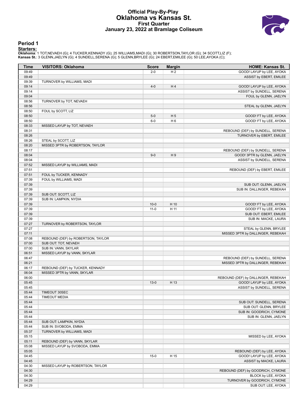#### **Official Play-By-Play Oklahoma vs Kansas St. First Quarter January 23, 2022 at Bramlage Coliseum**



#### **Period 1**

<mark>Startersː</mark><br>Oklahoma: 1 TOT,NEVAEH (G); 4 TUCKER,KENNADY (G); 25 WILLIAMS,MADI (G); 30 ROBERTSON,TAYLOR (G); 34 SCOTT,LIZ (F);<br>**Kansas St.**: 3 GLENN,JAELYN (G); 4 SUNDELL,SERENA (G); 5 GLENN,BRYLEE (G); 24 EBERT,EMILEE (G)

| Time           | <b>VISITORS: Oklahoma</b>             | <b>Score</b>   | <b>Margin</b>  | <b>HOME: Kansas St.</b>                                |
|----------------|---------------------------------------|----------------|----------------|--------------------------------------------------------|
| 09:49          |                                       | $2 - 0$        | H <sub>2</sub> | GOOD! LAYUP by LEE, AYOKA                              |
| 09:49          |                                       |                |                | ASSIST by EBERT, EMILEE                                |
| 09:39          | TURNOVER by WILLIAMS, MADI            |                |                |                                                        |
| 09:14          |                                       | $4 - 0$        | H4             | GOOD! LAYUP by LEE, AYOKA                              |
| 09:14          |                                       |                |                | ASSIST by SUNDELL, SERENA                              |
| 09:04          |                                       |                |                | FOUL by GLENN, JAELYN                                  |
| 08:56          | TURNOVER by TOT, NEVAEH               |                |                |                                                        |
| 08:56          |                                       |                |                | STEAL by GLENN, JAELYN                                 |
| 08:50<br>08:50 | FOUL by SCOTT, LIZ                    |                |                | GOOD! FT by LEE, AYOKA                                 |
| 08:50          |                                       | $5-0$<br>$6-0$ | H <sub>5</sub> | GOOD! FT by LEE, AYOKA                                 |
| 08:33          | MISSED LAYUP by TOT, NEVAEH           |                | H <sub>6</sub> |                                                        |
| 08:31          |                                       |                |                | REBOUND (DEF) by SUNDELL, SERENA                       |
| 08:26          |                                       |                |                | TURNOVER by EBERT, EMILEE                              |
| 08:26          | STEAL by SCOTT, LIZ                   |                |                |                                                        |
| 08:20          | MISSED 3PTR by ROBERTSON, TAYLOR      |                |                |                                                        |
| 08:17          |                                       |                |                | REBOUND (DEF) by SUNDELL, SERENA                       |
| 08:04          |                                       | $9-0$          | H <sub>9</sub> | GOOD! 3PTR by GLENN, JAELYN                            |
| 08:04          |                                       |                |                | ASSIST by SUNDELL, SERENA                              |
| 07:52          | MISSED LAYUP by WILLIAMS, MADI        |                |                |                                                        |
| 07:51          |                                       |                |                | REBOUND (DEF) by EBERT, EMILEE                         |
| 07:51          | FOUL by TUCKER, KENNADY               |                |                |                                                        |
| 07:39          | FOUL by WILLIAMS, MADI                |                |                |                                                        |
| 07:39          |                                       |                |                | SUB OUT: GLENN, JAELYN                                 |
| 07:39          |                                       |                |                | SUB IN: DALLINGER, REBEKAH                             |
| 07:39          | SUB OUT: SCOTT, LIZ                   |                |                |                                                        |
| 07:39          | SUB IN: LAMPKIN, NYDIA                |                |                |                                                        |
| 07:39          |                                       | $10 - 0$       | H 10           | GOOD! FT by LEE, AYOKA                                 |
| 07:39          |                                       | $11-0$         | H 11           | GOOD! FT by LEE, AYOKA                                 |
| 07:39          |                                       |                |                | SUB OUT: EBERT, EMILEE                                 |
| 07:39          |                                       |                |                | SUB IN: MACKE, LAURA                                   |
| 07:27          | TURNOVER by ROBERTSON, TAYLOR         |                |                |                                                        |
| 07:27          |                                       |                |                | STEAL by GLENN, BRYLEE                                 |
| 07:11          |                                       |                |                | MISSED 3PTR by DALLINGER, REBEKAH                      |
| 07:08          | REBOUND (DEF) by ROBERTSON, TAYLOR    |                |                |                                                        |
| 07:00          | SUB OUT: TOT, NEVAEH                  |                |                |                                                        |
| 07:00          | SUB IN: VANN, SKYLAR                  |                |                |                                                        |
| 06:51          | MISSED LAYUP by VANN, SKYLAR          |                |                |                                                        |
| 06:47          |                                       |                |                | REBOUND (DEF) by SUNDELL, SERENA                       |
| 06:21          |                                       |                |                | MISSED 3PTR by DALLINGER, REBEKAH                      |
| 06:17          | REBOUND (DEF) by TUCKER, KENNADY      |                |                |                                                        |
| 06:04          | MISSED 3PTR by VANN, SKYLAR           |                |                |                                                        |
| 06:00          |                                       |                |                | REBOUND (DEF) by DALLINGER, REBEKAH                    |
| 05:45          |                                       | $13-0$         | H 13           | GOOD! LAYUP by LEE, AYOKA<br>ASSIST by SUNDELL, SERENA |
| 05:45<br>05:44 |                                       |                |                |                                                        |
| 05:44          | TIMEOUT 30SEC<br><b>TIMEOUT MEDIA</b> |                |                |                                                        |
| 05:44          |                                       |                |                | SUB OUT: SUNDELL, SERENA                               |
| 05:44          |                                       |                |                | SUB OUT: GLENN, BRYLEE                                 |
| 05:44          |                                       |                |                | SUB IN: GOODRICH, CYMONE                               |
| 05:44          |                                       |                |                | SUB IN: GLENN, JAELYN                                  |
| 05:44          | SUB OUT: LAMPKIN, NYDIA               |                |                |                                                        |
| 05:44          | SUB IN: SVOBODA, EMMA                 |                |                |                                                        |
| 05:37          | TURNOVER by WILLIAMS, MADI            |                |                |                                                        |
| 05:15          |                                       |                |                | MISSED by LEE, AYOKA                                   |
| 05:11          | REBOUND (DEF) by VANN, SKYLAR         |                |                |                                                        |
| 05:08          | MISSED LAYUP by SVOBODA, EMMA         |                |                |                                                        |
| 05:05          |                                       |                |                | REBOUND (DEF) by LEE, AYOKA                            |
| 04:45          |                                       | $15-0$         | H 15           | GOOD! LAYUP by LEE, AYOKA                              |
| 04:45          |                                       |                |                | ASSIST by MACKE, LAURA                                 |
| 04:30          | MISSED LAYUP by ROBERTSON, TAYLOR     |                |                |                                                        |
| 04:30          |                                       |                |                | REBOUND (DEF) by GOODRICH, CYMONE                      |
| 04:30          |                                       |                |                | BLOCK by LEE, AYOKA                                    |
| 04:29          |                                       |                |                | TURNOVER by GOODRICH, CYMONE                           |
| 04:29          |                                       |                |                | SUB OUT: LEE, AYOKA                                    |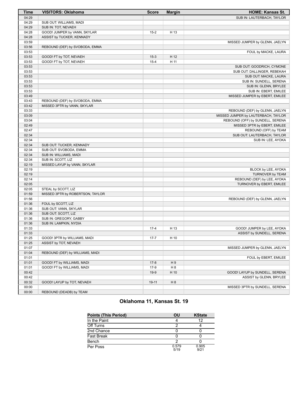| <b>Time</b>    | <b>VISITORS: Oklahoma</b>        | <b>Score</b> | <b>Margin</b> | <b>HOME: Kansas St.</b>             |
|----------------|----------------------------------|--------------|---------------|-------------------------------------|
| 04:29          |                                  |              |               | SUB IN: LAUTERBACH, TAYLOR          |
| 04:29          | SUB OUT: WILLIAMS, MADI          |              |               |                                     |
| 04:29          | SUB IN: TOT, NEVAEH              |              |               |                                     |
| 04:28          | GOOD! JUMPER by VANN, SKYLAR     | $15 - 2$     | H 13          |                                     |
| 04:28          | ASSIST by TUCKER, KENNADY        |              |               |                                     |
| 03:59          |                                  |              |               | MISSED JUMPER by GLENN, JAELYN      |
| 03:56          | REBOUND (DEF) by SVOBODA, EMMA   |              |               |                                     |
| 03:53          |                                  |              |               | FOUL by MACKE, LAURA                |
| 03:53          | GOOD! FT by TOT, NEVAEH          | $15-3$       | H 12          |                                     |
| 03:53          | GOOD! FT by TOT, NEVAEH          | $15 - 4$     | H 11          |                                     |
| 03:53          |                                  |              |               | SUB OUT: GOODRICH, CYMONE           |
| 03:53          |                                  |              |               | SUB OUT: DALLINGER, REBEKAH         |
| 03:53          |                                  |              |               | SUB OUT: MACKE, LAURA               |
| 03:53          |                                  |              |               | SUB IN: SUNDELL, SERENA             |
| 03:53          |                                  |              |               | SUB IN: GLENN, BRYLEE               |
| 03:53          |                                  |              |               | SUB IN: EBERT, EMILEE               |
| 03:49          |                                  |              |               | MISSED JUMPER by EBERT, EMILEE      |
| 03:43          | REBOUND (DEF) by SVOBODA, EMMA   |              |               |                                     |
| 03:42          | MISSED 3PTR by VANN, SKYLAR      |              |               |                                     |
| 03:33          |                                  |              |               | REBOUND (DEF) by GLENN, JAELYN      |
| 03:09          |                                  |              |               | MISSED JUMPER by LAUTERBACH, TAYLOR |
| 03:04          |                                  |              |               | REBOUND (OFF) by SUNDELL, SERENA    |
| 02:49          |                                  |              |               | MISSED 3PTR by EBERT, EMILEE        |
| 02:47          |                                  |              |               | REBOUND (OFF) by TEAM               |
| 02:34          |                                  |              |               | SUB OUT: LAUTERBACH, TAYLOR         |
| 02:34          |                                  |              |               | SUB IN: LEE, AYOKA                  |
| 02:34          | SUB OUT: TUCKER, KENNADY         |              |               |                                     |
| 02:34          | SUB OUT: SVOBODA, EMMA           |              |               |                                     |
| 02:34          |                                  |              |               |                                     |
|                | SUB IN: WILLIAMS, MADI           |              |               |                                     |
| 02:34<br>02:19 | SUB IN: SCOTT, LIZ               |              |               |                                     |
|                | MISSED LAYUP by VANN, SKYLAR     |              |               |                                     |
| 02:19          |                                  |              |               | BLOCK by LEE, AYOKA                 |
| 02:19          |                                  |              |               | TURNOVER by TEAM                    |
| 02:14          |                                  |              |               | REBOUND (DEF) by LEE, AYOKA         |
| 02:05          |                                  |              |               | TURNOVER by EBERT, EMILEE           |
| 02:05          | STEAL by SCOTT, LIZ              |              |               |                                     |
| 01:59          | MISSED 3PTR by ROBERTSON, TAYLOR |              |               |                                     |
| 01:56          |                                  |              |               | REBOUND (DEF) by GLENN, JAELYN      |
| 01:36          | FOUL by SCOTT, LIZ               |              |               |                                     |
| 01:36          | SUB OUT: VANN, SKYLAR            |              |               |                                     |
| 01:36          | SUB OUT: SCOTT, LIZ              |              |               |                                     |
| 01:36          | SUB IN: GREGORY, GABBY           |              |               |                                     |
| 01:36          | SUB IN: LAMPKIN, NYDIA           |              |               |                                     |
| 01:33          |                                  | $17 - 4$     | H 13          | GOOD! JUMPER by LEE, AYOKA          |
| 01:33          |                                  |              |               | ASSIST by SUNDELL, SERENA           |
| 01:25          | GOOD! 3PTR by WILLIAMS, MADI     | $17 - 7$     | H 10          |                                     |
| 01:25          | ASSIST by TOT, NEVAEH            |              |               |                                     |
| 01:07          |                                  |              |               | MISSED JUMPER by GLENN, JAELYN      |
| 01:04          | REBOUND (DEF) by WILLIAMS, MADI  |              |               |                                     |
| 01:01          |                                  |              |               | FOUL by EBERT, EMILEE               |
| 01:01          | GOOD! FT by WILLIAMS, MADI       | $17-8$       | H9            |                                     |
| 01:01          | GOOD! FT by WILLIAMS, MADI       | $17-9$       | H 8           |                                     |
| 00:42          |                                  | $19-9$       | H 10          | GOOD! LAYUP by SUNDELL, SERENA      |
| 00:42          |                                  |              |               | ASSIST by GLENN, BRYLEE             |
| 00:32          | GOOD! LAYUP by TOT, NEVAEH       | $19-11$      | H 8           |                                     |
| 00:00          |                                  |              |               | MISSED 3PTR by SUNDELL, SERENA      |
| 00:00          | REBOUND (DEADB) by TEAM          |              |               |                                     |

# **Oklahoma 11, Kansas St. 19**

| <b>Points (This Period)</b> | OU            | <b>KState</b> |
|-----------------------------|---------------|---------------|
| In the Paint                |               |               |
| Off Turns                   |               |               |
| 2nd Chance                  |               |               |
| <b>Fast Break</b>           |               |               |
| Bench                       |               |               |
| Per Poss                    | 0.579<br>5/19 | 0.905<br>9/21 |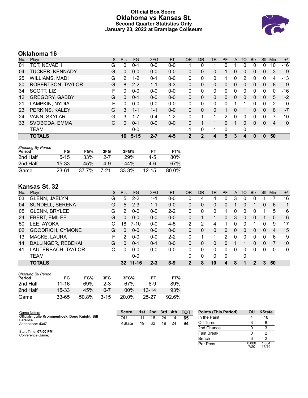### **Official Box Score Oklahoma vs Kansas St. Second Quarter Statistics Only January 23, 2022 at Bramlage Coliseum**



# **Oklahoma 16**

| No. | Player                 | S | <b>Pts</b>     | <b>FG</b> | 3FG     | <b>FT</b> | <b>OR</b> | <b>DR</b> | TR | PF | A        | TO       | <b>Blk</b> | Stl          | Min      | $+/-$        |
|-----|------------------------|---|----------------|-----------|---------|-----------|-----------|-----------|----|----|----------|----------|------------|--------------|----------|--------------|
| 01  | TOT, NEVAEH            | G | 0              | $0 - 1$   | $0 - 0$ | $0-0$     |           | 0         |    | 0  |          | $\Omega$ |            | 0            | 10       | $-16$        |
| 04  | <b>TUCKER, KENNADY</b> | G | 0              | $0 - 0$   | $0 - 0$ | $0 - 0$   | 0         | 0         | 0  |    | 0        | 0        | 0          | $\mathbf{0}$ | 3        | $-9$         |
| 25  | <b>WILLIAMS, MADI</b>  | G | $\overline{2}$ | $1 - 2$   | $0 - 1$ | $0-0$     | 0         | 0         | 0  |    | 0        | 2        | 0          | 0            | 4        | -13          |
| 30  | ROBERTSON, TAYLOR      | G | 8              | $2 - 2$   | $1 - 1$ | $3 - 3$   | $\Omega$  | $\Omega$  | 0  | 0  | $\Omega$ | 0        | 0          | $\Omega$     | 8        | -9           |
| 34  | SCOTT, LIZ             | F | 0              | $0 - 0$   | $0 - 0$ | $0-0$     | 0         | $\Omega$  | 0  | 0  | 0        | 0        | 0          | 0            | $\Omega$ | $-16$        |
| 12  | <b>GREGORY, GABBY</b>  | G | 0              | $0 - 1$   | $0 - 0$ | $0 - 0$   | $\Omega$  | $\Omega$  | 0  | 0  | $\Omega$ | 0        | $\Omega$   | $\mathbf{0}$ | 5        | $-2$         |
| 21  | LAMPKIN, NYDIA         | F | 0              | $0 - 0$   | $0 - 0$ | $0 - 0$   | 0         | $\Omega$  | 0  | U  |          |          | 0          | $\Omega$     | 2        | $\mathbf{0}$ |
| 23  | PERKINS, KALEY         | G | 3              | $1 - 1$   | $1 - 1$ | $0 - 0$   | $\Omega$  | $\Omega$  | 0  |    | 0        |          | 0          | $\mathbf{0}$ | 8        | $-7$         |
| 24  | VANN, SKYLAR           | G | 3              | $1 - 7$   | $0 - 4$ | $1 - 2$   | $\Omega$  |           | 1  | 2  | 0        | 0        | 0          | 0            |          | $-10$        |
| 33  | SVOBODA, EMMA          | С | 0              | $0 - 1$   | $0 - 0$ | $0 - 0$   | 0         |           |    | 0  |          | 0        | 0          | $\Omega$     | 4        | $\mathbf{0}$ |
|     | <b>TEAM</b>            |   |                | $0 - 0$   |         |           | 1         | 0         | 1  | 0  |          | 0        |            |              |          |              |
|     | <b>TOTALS</b>          |   | 16             | $5 - 15$  | $2 - 7$ | $4 - 5$   | 2         | 2         | 4  | 5  | 3        | 4        | 0          | $\Omega$     | 50       |              |

| Shooting By Period |          |       |         |       |           |       |
|--------------------|----------|-------|---------|-------|-----------|-------|
| Period             | FG       | FG%   | 3FG     | 3FG%  | FТ        | FT%   |
| 2nd Half           | $5 - 15$ | 33%   | $2 - 7$ | 29%   | 4-5       | 80%   |
| 2nd Half           | 15-33    | 45%   | 4-9     | 44%   | 4-6       | 67%   |
| Game               | 23-61    | 37.7% | 7-21    | 33.3% | $12 - 15$ | 80.0% |

# **Kansas St. 32**

| No. | Plaver               | S  | <b>Pts</b> | FG.       | 3FG     | <b>FT</b> | 0R       | <b>DR</b> | <b>TR</b>    | <b>PF</b> | A        | TO       | <b>Blk</b> | <b>Stl</b> | Min | $+/-$        |
|-----|----------------------|----|------------|-----------|---------|-----------|----------|-----------|--------------|-----------|----------|----------|------------|------------|-----|--------------|
| 03  | GLENN, JAELYN        | G  | 5          | $2 - 2$   | 1-1     | $0-0$     | 0        | 4         | 4            | 0         | 3        | 0        | 0          |            |     | 16           |
| 04  | SUNDELL, SERENA      | G  | 5          | $2 - 3$   | $1 - 1$ | $0 - 0$   | 0        | 0         | 0            | 0         |          |          |            | 0          | 6   | 1            |
| 05  | <b>GLENN, BRYLEE</b> | G  | 2          | $0 - 0$   | $0 - 0$ | $2 - 2$   | 0        | 0         | $\mathbf{0}$ |           | 0        | 0        | 0          |            | 5   | 6            |
| 24  | EBERT, EMILEE        | G  | $\Omega$   | $0 - 0$   | $0 - 0$ | $0 - 0$   | $\Omega$ |           |              | 0         | 3        | $\Omega$ | $\Omega$   |            | 5   | 6            |
| 50  | LEE, AYOKA           | С  | 18         | $7 - 10$  | $0 - 0$ | $4 - 5$   | 2        | 2         | 4            |           | 0        | 0        |            | 0          | 9   | 17           |
| 02  | GOODRICH, CYMONE     | G  | $\Omega$   | $0 - 0$   | $0 - 0$ | $0 - 0$   | $\Omega$ | 0         | 0            | 0         | $\Omega$ | $\Omega$ | 0          | $\Omega$   | 4   | 15           |
| 13  | MACKE, LAURA         | F. | 2          | $0 - 0$   | $0 - 0$ | $2 - 2$   | 0        |           | 1            | 2         | 0        | 0        | 0          | 0          | 6   | 9            |
| 14  | DALLINGER, REBEKAH   | G  | 0          | $0 - 1$   | $0 - 1$ | $0 - 0$   | 0        | 0         | 0            | 0         |          |          | 0          | $\Omega$   |     | 10           |
| 41  | LAUTERBACH, TAYLOR   | C  | U          | $0 - 0$   | $0 - 0$ | $0 - 0$   | 0        | 0         | $\Omega$     | 0         | 0        | 0        | 0          | $\Omega$   | 0   | $\mathbf{0}$ |
|     | <b>TEAM</b>          |    |            | $0 - 0$   |         |           | 0        | 0         | $\Omega$     | 0         |          | 0        |            |            |     |              |
|     | <b>TOTALS</b>        |    | 32         | $11 - 16$ | $2 - 3$ | $8 - 9$   | 2        | 8         | 10           | 4         | 8        |          | 2          | 3          | 50  |              |

| <b>Shooting By Period</b><br>Period | FG        | FG%   | 3FG      | 3FG%   | FТ        | FT%   |
|-------------------------------------|-----------|-------|----------|--------|-----------|-------|
| 2nd Half                            | $11 - 16$ | 69%   | $2-3$    | 67%    | 8-9       | 89%   |
| 2nd Half                            | $15 - 33$ | 45%   | $0 - 7$  | $00\%$ | $13 - 14$ | 93%   |
| Game                                | $33 - 65$ | 50.8% | $3 - 15$ | 20.0%  | 25-27     | 92.6% |

| <b>Score</b> | 1st | 2nd | 3rd | 4th | <b>TOT</b> | <b>Points (This Period)</b> | OU | <b>KState</b> |
|--------------|-----|-----|-----|-----|------------|-----------------------------|----|---------------|
| OU           |     | 16  | 24  | 14  | 65         | In the Paint                |    | 18            |
| KState       | 19  | 32  | 19  | 24  | 94         | Off Turns                   |    |               |
|              |     |     |     |     |            | 2nd Chance                  |    |               |
|              |     |     |     |     |            | Fast Break                  |    |               |
|              |     |     |     |     |            |                             |    |               |

| <b>Points (This Period)</b> | ΟU            | <b>KState</b>  |
|-----------------------------|---------------|----------------|
| In the Paint                | 4             | 18             |
| Off Turns                   | 3             |                |
| 2nd Chance                  | Ω             |                |
| <b>Fast Break</b>           | U             | 2              |
| Bench                       | հ             | 2              |
| Per Poss                    | 0.800<br>7/20 | 1.684<br>15/19 |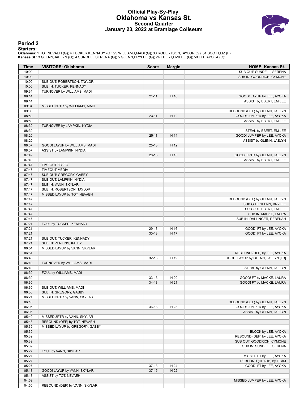#### **Official Play-By-Play Oklahoma vs Kansas St. Second Quarter January 23, 2022 at Bramlage Coliseum**



#### **Period 2**

<mark>Startersː</mark><br>Oklahoma: 1 TOT,NEVAEH (G); 4 TUCKER,KENNADY (G); 25 WILLIAMS,MADI (G); 30 ROBERTSON,TAYLOR (G); 34 SCOTT,LIZ (F);<br>**Kansas St.**: 3 GLENN,JAELYN (G); 4 SUNDELL,SERENA (G); 5 GLENN,BRYLEE (G); 24 EBERT,EMILEE (G)

| <b>Time</b>    | <b>VISITORS: Oklahoma</b>      | <b>Score</b> | <b>Margin</b> | HOME: Kansas St.                  |
|----------------|--------------------------------|--------------|---------------|-----------------------------------|
| 10:00          |                                |              |               | SUB OUT: SUNDELL, SERENA          |
| 10:00          |                                |              |               | SUB IN: GOODRICH, CYMONE          |
| 10:00          | SUB OUT: ROBERTSON, TAYLOR     |              |               |                                   |
| 10:00          | SUB IN: TUCKER, KENNADY        |              |               |                                   |
| 09:34          | TURNOVER by WILLIAMS, MADI     |              |               |                                   |
| 09:14          |                                | $21 - 11$    | H 10          | GOOD! LAYUP by LEE, AYOKA         |
| 09:14          |                                |              |               | ASSIST by EBERT, EMILEE           |
| 09:04          | MISSED 3PTR by WILLIAMS, MADI  |              |               |                                   |
| 09:00          |                                |              |               | REBOUND (DEF) by GLENN, JAELYN    |
| 08:50          |                                | $23 - 11$    | H 12          | GOOD! JUMPER by LEE, AYOKA        |
| 08:50          |                                |              |               | ASSIST by EBERT, EMILEE           |
| 08:39          | TURNOVER by LAMPKIN, NYDIA     |              |               |                                   |
| 08:39          |                                |              |               | STEAL by EBERT, EMILEE            |
| 08:20          |                                | $25 - 11$    | H 14          | GOOD! JUMPER by LEE, AYOKA        |
| 08:20          |                                |              |               | ASSIST by GLENN, JAELYN           |
| 08:07          | GOOD! LAYUP by WILLIAMS, MADI  | $25-13$      | H 12          |                                   |
| 08:07          | ASSIST by LAMPKIN, NYDIA       |              |               |                                   |
| 07:49          |                                | $28-13$      | H 15          | GOOD! 3PTR by GLENN, JAELYN       |
| 07:49          |                                |              |               | ASSIST by EBERT, EMILEE           |
| 07:47          | TIMEOUT 30SEC                  |              |               |                                   |
| 07:47          | <b>TIMEOUT MEDIA</b>           |              |               |                                   |
| 07:47          | SUB OUT: GREGORY, GABBY        |              |               |                                   |
| 07:47          | SUB OUT: LAMPKIN, NYDIA        |              |               |                                   |
| 07:47          | SUB IN: VANN, SKYLAR           |              |               |                                   |
| 07:47          | SUB IN: ROBERTSON, TAYLOR      |              |               |                                   |
| 07:47          | MISSED LAYUP by TOT, NEVAEH    |              |               |                                   |
| 07:47          |                                |              |               | REBOUND (DEF) by GLENN, JAELYN    |
| 07:47          |                                |              |               | SUB OUT: GLENN, BRYLEE            |
| 07:47          |                                |              |               | SUB OUT: EBERT, EMILEE            |
| 07:47          |                                |              |               | SUB IN: MACKE, LAURA              |
| 07:47          |                                |              |               | SUB IN: DALLINGER, REBEKAH        |
| 07:21          | FOUL by TUCKER, KENNADY        |              |               |                                   |
| 07:21          |                                | 29-13        | H 16          | GOOD! FT by LEE, AYOKA            |
| 07:21          |                                | $30 - 13$    | H 17          | GOOD! FT by LEE, AYOKA            |
| 07:21          | SUB OUT: TUCKER, KENNADY       |              |               |                                   |
| 07:21<br>06:54 | SUB IN: PERKINS, KALEY         |              |               |                                   |
| 06:51          | MISSED LAYUP by VANN, SKYLAR   |              |               |                                   |
| 06:46          |                                | $32 - 13$    |               | REBOUND (DEF) by LEE, AYOKA       |
| 06:40          |                                |              | H 19          | GOOD! LAYUP by GLENN, JAELYN [FB] |
| 06:40          | TURNOVER by WILLIAMS, MADI     |              |               |                                   |
| 06:30          |                                |              |               | STEAL by GLENN, JAELYN            |
| 06:30          | FOUL by WILLIAMS, MADI         | $33-13$      | H 20          | GOOD! FT by MACKE, LAURA          |
| 06:30          |                                | $34-13$      | H 21          | GOOD! FT by MACKE, LAURA          |
| 06:30          | SUB OUT: WILLIAMS, MADI        |              |               |                                   |
| 06:30          | SUB IN: GREGORY, GABBY         |              |               |                                   |
| 06:21          | MISSED 3PTR by VANN, SKYLAR    |              |               |                                   |
| 06:18          |                                |              |               | REBOUND (DEF) by GLENN, JAELYN    |
| 06:05          |                                | $36-13$      | H 23          | GOOD! JUMPER by LEE, AYOKA        |
| 06:05          |                                |              |               | ASSIST by GLENN, JAELYN           |
| 05:49          | MISSED 3PTR by VANN, SKYLAR    |              |               |                                   |
| 05:43          | REBOUND (OFF) by TOT, NEVAEH   |              |               |                                   |
| 05:39          | MISSED LAYUP by GREGORY, GABBY |              |               |                                   |
| 05:39          |                                |              |               | BLOCK by LEE, AYOKA               |
| 05:39          |                                |              |               | REBOUND (DEF) by LEE, AYOKA       |
| 05:39          |                                |              |               | SUB OUT: GOODRICH, CYMONE         |
| 05:39          |                                |              |               | SUB IN: SUNDELL, SERENA           |
| 05:27          | FOUL by VANN, SKYLAR           |              |               |                                   |
| 05:27          |                                |              |               | MISSED FT by LEE, AYOKA           |
| 05:27          |                                |              |               | REBOUND (DEADB) by TEAM           |
| 05:27          |                                | $37-13$      | H 24          | GOOD! FT by LEE, AYOKA            |
| 05:13          |                                |              |               |                                   |
|                |                                |              |               |                                   |
|                | GOOD! LAYUP by VANN, SKYLAR    | $37-15$      | H 22          |                                   |
| 05:13<br>04:59 | ASSIST by TOT, NEVAEH          |              |               | MISSED JUMPER by LEE, AYOKA       |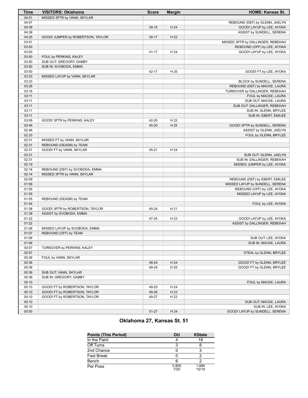| <b>Time</b>    | <b>VISITORS: Oklahoma</b>         | <b>Score</b> | <b>Margin</b> | <b>HOME: Kansas St.</b>                                         |
|----------------|-----------------------------------|--------------|---------------|-----------------------------------------------------------------|
| 04:51          | MISSED 3PTR by VANN, SKYLAR       |              |               |                                                                 |
| 04:47          |                                   |              |               | REBOUND (DEF) by GLENN, JAELYN                                  |
| 04:38          |                                   | 39-15        | H 24          | GOOD! LAYUP by LEE, AYOKA                                       |
| 04:38          |                                   |              |               | ASSIST by SUNDELL, SERENA                                       |
| 04:25          | GOOD! JUMPER by ROBERTSON, TAYLOR | 39-17        | H 22          |                                                                 |
| 03:51          |                                   |              |               | MISSED 3PTR by DALLINGER, REBEKAH                               |
| 03:50          |                                   |              |               | REBOUND (OFF) by LEE, AYOKA                                     |
| 03:50          |                                   | 41-17        | H 24          | GOOD! LAYUP by LEE, AYOKA                                       |
| 03:50          | FOUL by PERKINS, KALEY            |              |               |                                                                 |
| 03:50          | SUB OUT: GREGORY, GABBY           |              |               |                                                                 |
| 03:50          | SUB IN: SVOBODA, EMMA             |              |               |                                                                 |
| 03:50          |                                   | 42-17        | H 25          | GOOD! FT by LEE, AYOKA                                          |
| 03:33          | MISSED LAYUP by VANN, SKYLAR      |              |               |                                                                 |
| 03:33          |                                   |              |               |                                                                 |
| 03:28          |                                   |              |               | BLOCK by SUNDELL, SERENA                                        |
|                |                                   |              |               | REBOUND (DEF) by MACKE, LAURA<br>TURNOVER by DALLINGER, REBEKAH |
| 03:16<br>03:11 |                                   |              |               |                                                                 |
|                |                                   |              |               | FOUL by MACKE, LAURA                                            |
| 03:11          |                                   |              |               | SUB OUT: MACKE, LAURA                                           |
| 03:11          |                                   |              |               | SUB OUT: DALLINGER, REBEKAH                                     |
| 03:11          |                                   |              |               | SUB IN: GLENN, BRYLEE                                           |
| 03:11          |                                   |              |               | SUB IN: EBERT, EMILEE                                           |
| 03:09          | GOOD! 3PTR by PERKINS, KALEY      | 42-20        | H 22          |                                                                 |
| 02:46          |                                   | 45-20        | H 25          | GOOD! 3PTR by SUNDELL, SERENA                                   |
| 02:46          |                                   |              |               | ASSIST by GLENN, JAELYN                                         |
| 02:33          |                                   |              |               | FOUL by GLENN, BRYLEE                                           |
| 02:31          | MISSED FT by VANN, SKYLAR         |              |               |                                                                 |
| 02:31          | REBOUND (DEADB) by TEAM           |              |               |                                                                 |
| 02:31          | GOOD! FT by VANN, SKYLAR          | 45-21        | H 24          |                                                                 |
| 02:31          |                                   |              |               | SUB OUT: GLENN, JAELYN                                          |
| 02:31          |                                   |              |               | SUB IN: DALLINGER, REBEKAH                                      |
| 02:19          |                                   |              |               | MISSED JUMPER by LEE, AYOKA                                     |
| 02:16          | REBOUND (DEF) by SVOBODA, EMMA    |              |               |                                                                 |
| 02:14          | MISSED 3PTR by VANN, SKYLAR       |              |               |                                                                 |
| 02:09          |                                   |              |               | REBOUND (DEF) by EBERT, EMILEE                                  |
| 01:56          |                                   |              |               | MISSED LAYUP by SUNDELL, SERENA                                 |
| 01:55          |                                   |              |               | REBOUND (OFF) by LEE, AYOKA                                     |
| 01:55          |                                   |              |               | MISSED LAYUP by LEE, AYOKA                                      |
| 01:55          | REBOUND (DEADB) by TEAM           |              |               |                                                                 |
| 01:54          |                                   |              |               | FOUL by LEE, AYOKA                                              |
| 01:38          | GOOD! 3PTR by ROBERTSON, TAYLOR   | 45-24        | H 21          |                                                                 |
| 01:38          | ASSIST by SVOBODA, EMMA           |              |               |                                                                 |
| 01:22          |                                   | 47-24        | H 23          | GOOD! LAYUP by LEE, AYOKA                                       |
| 01:22          |                                   |              |               | ASSIST by DALLINGER, REBEKAH                                    |
| 01:08          | MISSED LAYUP by SVOBODA, EMMA     |              |               |                                                                 |
| 01:07          | REBOUND (OFF) by TEAM             |              |               |                                                                 |
| 01:06          |                                   |              |               | SUB OUT: LEE, AYOKA                                             |
| 01:06          |                                   |              |               | SUB IN: MACKE, LAURA                                            |
| 00:57          | TURNOVER by PERKINS, KALEY        |              |               |                                                                 |
| 00:57          |                                   |              |               | STEAL by GLENN, BRYLEE                                          |
| 00:36          | FOUL by VANN, SKYLAR              |              |               |                                                                 |
| 00:36          |                                   | 48-24        | H 24          | GOOD! FT by GLENN, BRYLEE                                       |
| 00:36          |                                   | 49-24        | H 25          | GOOD! FT by GLENN, BRYLEE                                       |
| 00:36          | SUB OUT: VANN, SKYLAR             |              |               |                                                                 |
| 00:36          | SUB IN: GREGORY, GABBY            |              |               |                                                                 |
| 00:10          |                                   |              |               | FOUL by MACKE, LAURA                                            |
| 00:10          | GOOD! FT by ROBERTSON, TAYLOR     | 49-25        | H 24          |                                                                 |
| 00:10          | GOOD! FT by ROBERTSON, TAYLOR     | 49-26        | H 23          |                                                                 |
| 00:10          | GOOD! FT by ROBERTSON, TAYLOR     | 49-27        | H 22          |                                                                 |
| 00:10          |                                   |              |               | SUB OUT: MACKE, LAURA                                           |
| 00:10          |                                   |              |               | SUB IN: LEE, AYOKA                                              |
|                |                                   |              | H 24          |                                                                 |
| 00:00          |                                   | 51-27        |               | GOOD! LAYUP by SUNDELL, SERENA                                  |

# **Oklahoma 27, Kansas St. 51**

| <b>Points (This Period)</b> | OU            | <b>KState</b>  |
|-----------------------------|---------------|----------------|
| In the Paint                |               | 18             |
| Off Turns                   |               |                |
| 2nd Chance                  |               |                |
| <b>Fast Break</b>           |               |                |
| Bench                       |               |                |
| Per Poss                    | 0.800<br>7/20 | 1.684<br>15/19 |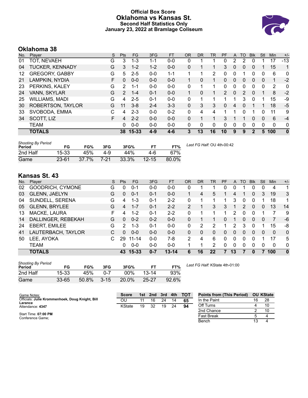### **Official Box Score Oklahoma vs Kansas St. Second Half Statistics Only January 23, 2022 at Bramlage Coliseum**



# **Oklahoma 38**

| No. | Player                 | S  | <b>Pts</b>    | <b>FG</b> | 3FG     | <b>FT</b> | <b>OR</b> | <b>DR</b> | <b>TR</b>      | PF            | A        | TO | <b>B</b> lk  | Stl      | <b>Min</b>   | $+/-$        |
|-----|------------------------|----|---------------|-----------|---------|-----------|-----------|-----------|----------------|---------------|----------|----|--------------|----------|--------------|--------------|
| 01  | TOT, NEVAEH            | G  | 3             | $1 - 3$   | 1-1     | $0-0$     | 0         |           |                | 0             | 2        | 2  | 0            |          | 17           | $-13$        |
| 04  | <b>TUCKER, KENNADY</b> | G  | 3             | $1 - 2$   | $1 - 2$ | $0 - 0$   | 0         |           |                | 3.            | 0        | 0  | 0            |          | 15           | 1            |
| 12  | <b>GREGORY, GABBY</b>  | G  | 5             | $2 - 5$   | $0 - 0$ | $1 - 1$   |           | 1         | $\overline{2}$ | 0             | 0        |    | 0            | 0        | 6            | 0            |
| 21  | LAMPKIN, NYDIA         | F. | 0             | $0 - 0$   | $0 - 0$ | $0 - 0$   |           | 0         | 1.             | $\Omega$      | $\Omega$ | 0  | 0            | 0        | 1            | $-2$         |
| 23  | PERKINS, KALEY         | G  | 2             | $1 - 1$   | $0 - 0$ | $0-0$     | 0         | 1         | 1              | 0             | 0        | 0  | 0            | $\Omega$ | 2            | $\mathbf{0}$ |
| 24  | VANN, SKYLAR           | G  | $\mathcal{P}$ | $1 - 4$   | $0 - 1$ | $0 - 0$   |           | $\Omega$  |                | $\mathcal{P}$ | $\Omega$ | 2  | $\Omega$     |          | 8            | $-2$         |
| 25  | <b>WILLIAMS, MADI</b>  | G  | 4             | $2 - 5$   | $0 - 1$ | $0 - 0$   | 0         |           |                |               |          | 3  | 0            |          | 15           | -9           |
| 30  | ROBERTSON, TAYLOR      | G  | 11            | $3 - 8$   | $2 - 4$ | $3 - 3$   | 0         | 3         | 3              | $\Omega$      | 4        | 0  |              |          | 18           | $-5$         |
| 33  | SVOBODA, EMMA          | C  | 4             | $2 - 3$   | $0 - 0$ | $0 - 2$   | 0         | 4         | 4              |               |          | 0  |              | U        | 11           | 9            |
| 34  | SCOTT, LIZ             | F  | 4             | $2 - 2$   | $0 - 0$ | $0 - 0$   | 0         | 1         |                | 3             |          |    | 0            | 0        | 6            | $-4$         |
|     | <b>TEAM</b>            |    | 0             | $0 - 0$   | $0 - 0$ | $0 - 0$   | 0         | 0         | 0              | $\Omega$      | 0        | 0  | 0            | $\Omega$ | $\mathbf{0}$ | $\mathbf{0}$ |
|     | <b>TOTALS</b>          |    | 38            | 15-33     | 4-9     | $4-6$     | 3         | 13        | 16             | 10            | 9        | 9  | $\mathbf{2}$ | 5        | 100          | $\bf{0}$     |

| <b>Shooting By Period</b><br>Period | FG        | FG%      | 3FG    | 3FG%  | FТ        | FT%   | Last FG Half: OU 4th-00:42 |
|-------------------------------------|-----------|----------|--------|-------|-----------|-------|----------------------------|
| 2nd Half                            | 15-33     | 45%      | 4-9    | 44%   | 4-6       | 67%   |                            |
| Game                                | $23 - 61$ | $37.7\%$ | $7-21$ | 33.3% | $12 - 15$ | 80.0% |                            |

# **Kansas St. 43**

| No. | Plaver               | S  | <b>Pts</b>     | <b>FG</b> | 3FG     | <b>FT</b> | <b>OR</b>      | <b>DR</b> | TR | PF       | A        | <b>TO</b> | <b>B</b> lk | Stl      | Min      | $+/-$        |
|-----|----------------------|----|----------------|-----------|---------|-----------|----------------|-----------|----|----------|----------|-----------|-------------|----------|----------|--------------|
| 02  | GOODRICH, CYMONE     | G  | 0              | $0 - 1$   | $0 - 0$ | $0 - 0$   | 0              |           |    | 0        | 0        |           | 0           | 0        | 4        | 1            |
| 03  | GLENN, JAELYN        | G  | 0              | $0 - 1$   | 0-1     | $0 - 0$   |                | 4         | 5  |          | 4        |           | 0           | 3        | 19       | 3            |
| 04  | SUNDELL, SERENA      | G  | 4              | $1 - 3$   | $0 - 1$ | $2 - 2$   | 0              |           |    |          | 3        | 0         | 0           |          | 18       | 1.           |
| 05  | <b>GLENN, BRYLEE</b> | G  | $\overline{4}$ | $1 - 7$   | $0 - 1$ | $2 - 2$   | $\overline{2}$ |           | 3  | 3        |          | 2.        | 0           | 0        | 13       | 14           |
| 13  | MACKE, LAURA         | F. | 4              | $1 - 2$   | $0 - 1$ | $2 - 2$   | 0              |           |    |          | 2        | 0         | $\Omega$    |          |          | 9            |
| 14  | DALLINGER, REBEKAH   | G  | $\Omega$       | $0 - 2$   | $0 - 2$ | $0 - 0$   | 0              |           |    | 0        | 1        | 0         | $\Omega$    | $\Omega$ |          | -6           |
| 24  | <b>EBERT, EMILEE</b> | G  | 2              | $1 - 3$   | $0 - 1$ | $0 - 0$   | 0              | 2         | 2  |          | 2        | 3         | 0           |          | 15       | -8           |
| 41  | LAUTERBACH, TAYLOR   | С  | 0              | $0 - 0$   | $0 - 0$ | $0 - 0$   | 0              | 0         | 0  | 0        | $\Omega$ | 0         | $\Omega$    | 0        | $\Omega$ | $\mathbf{0}$ |
| 50  | LEE, AYOKA           |    | 29             | $11 - 14$ | $0 - 0$ | $7-8$     | 2              | 4         | 6  | 0        | 0        | 0         | 0           |          | 17       | 5            |
|     | <b>TEAM</b>          |    | 0              | $0 - 0$   | $0 - 0$ | $0 - 0$   |                |           | 2  | $\Omega$ | 0        | 0         | 0           | 0        | 0        | $\mathbf{0}$ |
|     | <b>TOTALS</b>        |    | 43             | $15 - 33$ | $0 - 7$ | $13 - 14$ | 6              | 16        | 22 | 7        | 13       | 7         | 0           |          | 100      | $\mathbf{0}$ |

| <b>Shooting By Period</b><br>Period | FG        | FG%   | 3FG      | 3FG%   |           | FT%   |
|-------------------------------------|-----------|-------|----------|--------|-----------|-------|
| 2nd Half                            | 15-33     | 45%   | በ-7      | $00\%$ | $13 - 14$ | 93%   |
| Game                                | $33 - 65$ | 50.8% | $3 - 15$ | 20.0%  | $25 - 27$ | 92.6% |

*Last FG Half:* KState 4th-01:00

| Game Notes:                                     | <b>Score</b> | 1st. | 2nd | 3rd | 4th | <b>TOT</b> | <b>Points from (This Period)</b> |    | <b>OU KState</b> |
|-------------------------------------------------|--------------|------|-----|-----|-----|------------|----------------------------------|----|------------------|
| Officials: Julie Krommenhoek, Doug Knight, Bill | OU           | 11   | 16  | 24  | 14  | 65         | In the Paint                     | 16 | 28               |
| Larance<br>Attendance: 4347                     | KState       | 19   | 32  | 19  | 24  | 94         | Off Turns                        |    | 10               |
|                                                 |              |      |     |     |     |            | 2nd Chance                       |    | 10               |
| Start Time: 07:00 PM<br>Conference Game;        |              |      |     |     |     |            | <b>Fast Break</b>                |    |                  |
|                                                 |              |      |     |     |     |            | Bench                            |    |                  |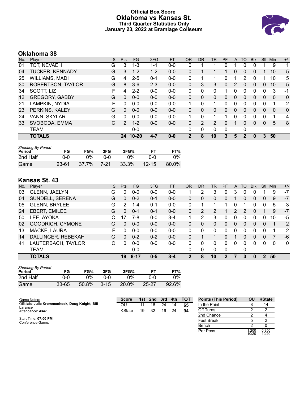### **Official Box Score Oklahoma vs Kansas St. Third Quarter Statistics Only January 23, 2022 at Bramlage Coliseum**



# **Oklahoma 38**

| No.               | Player                 | S | Pts           | FG.       | 3FG     | <b>FT</b> | <b>OR</b>    | <b>DR</b> | <b>TR</b>      | PF | A            | TO             | <b>Blk</b> | Stl      | Min          | $+/-$       |
|-------------------|------------------------|---|---------------|-----------|---------|-----------|--------------|-----------|----------------|----|--------------|----------------|------------|----------|--------------|-------------|
| 01                | TOT, NEVAEH            | G | 3             | $1 - 3$   | 1-1     | $0-0$     | 0            |           |                | 0  |              |                |            |          | 9            | 1           |
| 04                | <b>TUCKER, KENNADY</b> | G | 3             | $1 - 2$   | $1 - 2$ | $0 - 0$   | $\Omega$     |           |                |    | 0            | $\Omega$       | 0          |          | 10           | 5           |
| 25                | WILLIAMS, MADI         | G | 4             | $2 - 5$   | $0 - 1$ | $0 - 0$   | 0            |           | 1              | 0  |              | 2              | 0          |          | 10           | 5           |
| 30                | ROBERTSON, TAYLOR      | G | 8             | $3-6$     | $2 - 3$ | $0 - 0$   | $\mathbf{0}$ | 3         | 3              | 0  | 2            | $\Omega$       | 0          | $\Omega$ | 10           | 5           |
| 34                | SCOTT, LIZ             | F | 4             | $2 - 2$   | $0 - 0$ | $0-0$     | 0            | 0         | 0              |    | 0            | 0              | 0          | 0        | 3            | -1          |
| $12 \overline{ }$ | <b>GREGORY, GABBY</b>  | G | $\Omega$      | $0 - 0$   | $0 - 0$ | $0 - 0$   | $\Omega$     | 0         | $\Omega$       | 0  | $\Omega$     | $\Omega$       | 0          | $\Omega$ | $\mathbf{0}$ | $\mathbf 0$ |
| 21                | LAMPKIN, NYDIA         | F | 0             | $0 - 0$   | $0 - 0$ | $0 - 0$   | 1            | 0         | 1              | 0  | 0            | 0              | 0          | 0        |              | $-2$        |
| 23                | PERKINS, KALEY         | G | 0             | $0 - 0$   | $0 - 0$ | $0 - 0$   | $\mathbf{0}$ | 0         | 0              | 0  | $\mathbf{0}$ | $\Omega$       | 0          | $\Omega$ | 0            | $\mathbf 0$ |
| 24                | VANN, SKYLAR           | G | 0             | $0 - 0$   | $0 - 0$ | $0 - 0$   | 1            | 0         | 1              |    | 0            | $\Omega$       | 0          | 0        | 1            | 4           |
| 33                | SVOBODA, EMMA          | С | $\mathcal{P}$ | $1 - 2$   | $0 - 0$ | $0 - 0$   | $\mathbf{0}$ | 2         | $\overline{2}$ | 0  |              | $\Omega$       | 0          | $\Omega$ | 5            | 8           |
|                   | <b>TEAM</b>            |   |               | $0 - 0$   |         |           | 0            | 0         | 0              | 0  |              | 0              |            |          |              |             |
|                   | <b>TOTALS</b>          |   | 24            | $10 - 20$ | $4 - 7$ | $0 - 0$   | 2            | 8         | 10             | 3  | 5            | $\overline{2}$ | 0          | 3        | 50           |             |

| <b>Shooting By Period</b><br>Period | FG        | FG%   | 3FG  | 3FG%  | FT        | FT%   |
|-------------------------------------|-----------|-------|------|-------|-----------|-------|
| 2nd Half                            | 0-0       | ገ%    | ი-ი  | በ%    | ი-ი       | $0\%$ |
| Game                                | $23 - 61$ | 37.7% | 7-21 | 33.3% | $12 - 15$ | 80.0% |

# **Kansas St. 43**

| No. | Plaver               | S | Pts | FG      | 3FG     | <b>FT</b> | <b>OR</b>    | DR | TR       | PF | A        | TO           | <b>B</b> lk | <b>Stl</b>     | Min | $+/-$        |
|-----|----------------------|---|-----|---------|---------|-----------|--------------|----|----------|----|----------|--------------|-------------|----------------|-----|--------------|
| 03  | GLENN, JAELYN        | G | 0   | $0 - 0$ | $0 - 0$ | $0 - 0$   |              | 2  | 3        | 0  | 3        | 0            | 0           |                | 9   | $-7$         |
| 04  | SUNDELL, SERENA      | G | 0   | $0 - 2$ | $0 - 1$ | $0 - 0$   | $\Omega$     | 0  | 0        | 0  |          | 0            | 0           | $\Omega$       | 9   | $-7$         |
| 05  | <b>GLENN, BRYLEE</b> | G | 2   | 1-4     | $0 - 1$ | $0-0$     | 0            |    |          |    |          |              | 0           | 0              | 5   | 3            |
| 24  | EBERT, EMILEE        | G | 0   | $0 - 1$ | $0 - 1$ | $0-0$     | $\mathbf{0}$ | 2  | 2        |    | 2        | 2            | 0           |                | 9   | $-7$         |
| 50  | LEE, AYOKA           | C | 17  | 7-8     | $0 - 0$ | $3 - 4$   | 1            | 2  | 3        | 0  | 0        | 0            | 0           | 0              | 10  | -5           |
| 02  | GOODRICH, CYMONE     | G | 0   | $0 - 0$ | $0 - 0$ | $0 - 0$   | $\Omega$     | 0  | 0        | 0  | $\Omega$ | $\Omega$     | 0           | $\Omega$       |     | 2            |
| 13  | MACKE, LAURA         | F | 0   | $0 - 0$ | $0 - 0$ | $0-0$     | 0            | 0  | $\Omega$ | 0  | 0        | <sup>0</sup> | 0           | 0              |     | 2            |
| 14  | DALLINGER, REBEKAH   | G | 0   | $0 - 2$ | $0 - 2$ | $0 - 0$   | 0            |    | 1        | 0  |          | $\Omega$     | 0           | $\Omega$       | 7   | -6           |
| 41  | LAUTERBACH, TAYLOR   | С | U   | $0 - 0$ | $0 - 0$ | $0 - 0$   | $\Omega$     | 0  | $\Omega$ | 0  | 0        | <sup>0</sup> | 0           | 0              | 0   | $\mathbf{0}$ |
|     | <b>TEAM</b>          |   |     | $0 - 0$ |         |           | 0            | 0  | 0        | 0  |          | 0            |             |                |     |              |
|     | <b>TOTALS</b>        |   | 19  | 8-17    | $0 - 5$ | $3 - 4$   | 2            | 8  | 10       | 2  |          | 3            | 0           | $\overline{2}$ | 50  |              |

| <b>Shooting By Period</b><br>Period | FG    | FG%   | 3FG      | 3FG%  | FT        | FT%   |
|-------------------------------------|-------|-------|----------|-------|-----------|-------|
| 2nd Half                            | ი-ი   | 0%    | ი-ი      | በ%    | ი-ი       | 0%    |
| Game                                | 33-65 | 50.8% | $3 - 15$ | 20.0% | $25 - 27$ | 92.6% |

| Game Notes:                                     | <b>Score</b> |    | 1st 2nd 3rd |    |    | 4th TOT | <b>Points (This Period)</b> | ΟU             | <b>KState</b>  |
|-------------------------------------------------|--------------|----|-------------|----|----|---------|-----------------------------|----------------|----------------|
| Officials: Julie Krommenhoek, Doug Knight, Bill | OU           | 11 | 16          | 24 | 14 | 65      | In the Paint                |                | 14             |
| Larance<br>Attendance: 4347                     | KState       | 19 | 32          | 19 | 24 | 94      | Off Turns                   |                |                |
|                                                 |              |    |             |    |    |         | 2nd Chance                  |                |                |
| Start Time: 07:00 PM<br>Conference Game;        |              |    |             |    |    |         | <b>Fast Break</b>           |                |                |
|                                                 |              |    |             |    |    |         | Bench                       |                |                |
|                                                 |              |    |             |    |    |         | Per Poss                    | 1.200<br>10/20 | 0.950<br>10/20 |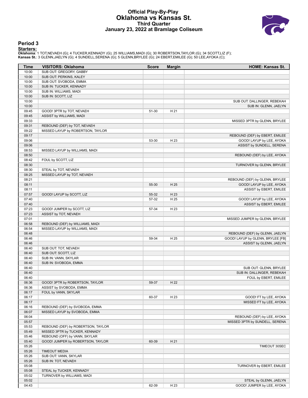#### **Official Play-By-Play Oklahoma vs Kansas St. Third Quarter January 23, 2022 at Bramlage Coliseum**



#### **Period 3**

<mark>Startersː</mark><br>Oklahoma: 1 TOT,NEVAEH (G); 4 TUCKER,KENNADY (G); 25 WILLIAMS,MADI (G); 30 ROBERTSON,TAYLOR (G); 34 SCOTT,LIZ (F);<br>**Kansas St.**: 3 GLENN,JAELYN (G); 4 SUNDELL,SERENA (G); 5 GLENN,BRYLEE (G); 24 EBERT,EMILEE (G)

| Time           | <b>VISITORS: Oklahoma</b>          | <b>Score</b> | <b>Margin</b> | HOME: Kansas St.                                                    |
|----------------|------------------------------------|--------------|---------------|---------------------------------------------------------------------|
| 10:00          | SUB OUT: GREGORY, GABBY            |              |               |                                                                     |
| 10:00          | SUB OUT: PERKINS, KALEY            |              |               |                                                                     |
| 10:00          | SUB OUT: SVOBODA, EMMA             |              |               |                                                                     |
| 10:00          | SUB IN: TUCKER, KENNADY            |              |               |                                                                     |
| 10:00          | SUB IN: WILLIAMS, MADI             |              |               |                                                                     |
| 10:00          | SUB IN: SCOTT, LIZ                 |              |               |                                                                     |
| 10:00          |                                    |              |               | SUB OUT: DALLINGER, REBEKAH                                         |
| 10:00          |                                    |              |               | SUB IN: GLENN, JAELYN                                               |
| 09:45          | GOOD! 3PTR by TOT, NEVAEH          | 51-30        | H 21          |                                                                     |
| 09:45          | ASSIST by WILLIAMS, MADI           |              |               |                                                                     |
| 09:33          |                                    |              |               | MISSED 3PTR by GLENN, BRYLEE                                        |
| 09:31          | REBOUND (DEF) by TOT, NEVAEH       |              |               |                                                                     |
| 09:22          | MISSED LAYUP by ROBERTSON, TAYLOR  |              |               |                                                                     |
| 09:17          |                                    |              |               | REBOUND (DEF) by EBERT, EMILEE                                      |
| 09:06          |                                    | 53-30        | H 23          | GOOD! LAYUP by LEE, AYOKA                                           |
| 09:06          |                                    |              |               | ASSIST by SUNDELL, SERENA                                           |
| 08:53          | MISSED LAYUP by WILLIAMS, MADI     |              |               |                                                                     |
| 08:50          |                                    |              |               | REBOUND (DEF) by LEE, AYOKA                                         |
| 08:42          | FOUL by SCOTT, LIZ                 |              |               |                                                                     |
| 08:30          |                                    |              |               | TURNOVER by GLENN, BRYLEE                                           |
| 08:30          | STEAL by TOT, NEVAEH               |              |               |                                                                     |
| 08:25          | MISSED LAYUP by TOT, NEVAEH        |              |               |                                                                     |
| 08:21          |                                    |              |               | REBOUND (DEF) by GLENN, BRYLEE                                      |
| 08:11          |                                    | 55-30        | H 25          | GOOD! LAYUP by LEE, AYOKA                                           |
| 08:11          |                                    |              |               | ASSIST by EBERT, EMILEE                                             |
| 07:57          | GOOD! LAYUP by SCOTT, LIZ          | 55-32        | H 23          |                                                                     |
| 07:40          |                                    | 57-32        | H 25          | GOOD! LAYUP by LEE, AYOKA                                           |
| 07:40          |                                    |              |               | ASSIST by EBERT, EMILEE                                             |
| 07:23          | GOOD! JUMPER by SCOTT, LIZ         | 57-34        | H 23          |                                                                     |
| 07:23          | ASSIST by TOT, NEVAEH              |              |               |                                                                     |
| 07:01          |                                    |              |               | MISSED JUMPER by GLENN, BRYLEE                                      |
| 06:58          | REBOUND (DEF) by WILLIAMS, MADI    |              |               |                                                                     |
| 06:54          | MISSED LAYUP by WILLIAMS, MADI     |              |               |                                                                     |
| 06:48<br>06:46 |                                    | 59-34        | H 25          | REBOUND (DEF) by GLENN, JAELYN<br>GOOD! LAYUP by GLENN, BRYLEE [FB] |
| 06:46          |                                    |              |               | ASSIST by GLENN, JAELYN                                             |
| 06:40          | SUB OUT: TOT, NEVAEH               |              |               |                                                                     |
| 06:40          | SUB OUT: SCOTT, LIZ                |              |               |                                                                     |
| 06:40          | SUB IN: VANN, SKYLAR               |              |               |                                                                     |
| 06:40          | SUB IN: SVOBODA, EMMA              |              |               |                                                                     |
| 06:40          |                                    |              |               | SUB OUT: GLENN, BRYLEE                                              |
| 06:40          |                                    |              |               | SUB IN: DALLINGER, REBEKAH                                          |
| 06:40          |                                    |              |               | FOUL by EBERT, EMILEE                                               |
| 06:36          | GOOD! 3PTR by ROBERTSON, TAYLOR    | 59-37        | H 22          |                                                                     |
| 06:36          | ASSIST by SVOBODA, EMMA            |              |               |                                                                     |
| 06:17          | FOUL by VANN, SKYLAR               |              |               |                                                                     |
| 06:17          |                                    | 60-37        | H 23          | GOOD! FT by LEE, AYOKA                                              |
| 06:17          |                                    |              |               | MISSED FT by LEE, AYOKA                                             |
| 06:16          | REBOUND (DEF) by SVOBODA, EMMA     |              |               |                                                                     |
| 06:07          | MISSED LAYUP by SVOBODA, EMMA      |              |               |                                                                     |
| 06:04          |                                    |              |               | REBOUND (DEF) by LEE, AYOKA                                         |
| 05:57          |                                    |              |               | MISSED 3PTR by SUNDELL, SERENA                                      |
| 05:53          | REBOUND (DEF) by ROBERTSON, TAYLOR |              |               |                                                                     |
| 05:49          | MISSED 3PTR by TUCKER, KENNADY     |              |               |                                                                     |
| 05:46          | REBOUND (OFF) by VANN, SKYLAR      |              |               |                                                                     |
| 05:40          | GOOD! JUMPER by ROBERTSON, TAYLOR  | 60-39        | H 21          |                                                                     |
| 05:26          |                                    |              |               | TIMEOUT 30SEC                                                       |
| 05:26          | <b>TIMEOUT MEDIA</b>               |              |               |                                                                     |
| 05:26          | SUB OUT: VANN, SKYLAR              |              |               |                                                                     |
| 05:26          | SUB IN: TOT, NEVAEH                |              |               |                                                                     |
| 05:08          |                                    |              |               | TURNOVER by EBERT, EMILEE                                           |
| 05:08          | STEAL by TUCKER, KENNADY           |              |               |                                                                     |
| 05:02          | TURNOVER by WILLIAMS, MADI         |              |               |                                                                     |
| 05:02          |                                    |              |               | STEAL by GLENN, JAELYN                                              |
| 04:43          |                                    | 62-39        | H 23          | GOOD! JUMPER by LEE, AYOKA                                          |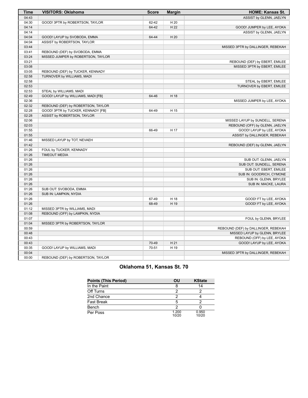| 04:43<br>ASSIST by GLENN, JAELYN<br>04:30<br>GOOD! 3PTR by ROBERTSON, TAYLOR<br>62-42<br>H 20<br>04:14<br>H 22<br>64-42<br>GOOD! JUMPER by LEE, AYOKA<br>04:14<br>ASSIST by GLENN, JAELYN<br>04:04<br>H 20<br>GOOD! LAYUP by SVOBODA, EMMA<br>64-44<br>04:04<br>ASSIST by ROBERTSON, TAYLOR<br>03:44<br>MISSED 3PTR by DALLINGER, REBEKAH<br>03:41<br>REBOUND (DEF) by SVOBODA, EMMA<br>03:24<br>MISSED JUMPER by ROBERTSON, TAYLOR<br>03:21<br>REBOUND (DEF) by EBERT, EMILEE<br>03:08<br>MISSED 3PTR by EBERT, EMILEE<br>03:05<br>REBOUND (DEF) by TUCKER, KENNADY<br>02:58<br>TURNOVER by WILLIAMS, MADI<br>02:58<br>STEAL by EBERT, EMILEE<br>02:53<br>TURNOVER by EBERT, EMILEE<br>02:53<br>STEAL by WILLIAMS, MADI<br>02:49<br>GOOD! LAYUP by WILLIAMS, MADI [FB]<br>64-46<br>H 18<br>02:36<br>MISSED JUMPER by LEE, AYOKA<br>02:32<br>REBOUND (DEF) by ROBERTSON, TAYLOR<br>02:28<br>GOOD! 3PTR by TUCKER, KENNADY [FB]<br>64-49<br>H 15<br>02:28<br>ASSIST by ROBERTSON, TAYLOR<br>02:06<br>MISSED LAYUP by SUNDELL, SERENA<br>02:03<br>REBOUND (OFF) by GLENN, JAELYN<br>01:55<br>GOOD! LAYUP by LEE, AYOKA<br>66-49<br>H 17<br>01:55<br>ASSIST by DALLINGER, REBEKAH<br>01:46<br>MISSED LAYUP by TOT, NEVAEH<br>01:42<br>REBOUND (DEF) by GLENN, JAELYN<br>01:26<br>FOUL by TUCKER, KENNADY<br>01:26<br><b>TIMEOUT MEDIA</b><br>01:26<br>SUB OUT: GLENN, JAELYN<br>01:26<br>SUB OUT: SUNDELL, SERENA<br>01:26<br>SUB OUT: EBERT, EMILEE<br>01:26<br>SUB IN: GOODRICH, CYMONE<br>01:26<br>SUB IN: GLENN, BRYLEE<br>01:26<br>SUB IN: MACKE, LAURA<br>01:26<br>SUB OUT: SVOBODA, EMMA<br>01:26<br>SUB IN: LAMPKIN, NYDIA<br>01:26<br>67-49<br>H 18<br>GOOD! FT by LEE, AYOKA<br>01:26<br>68-49<br>H 19<br>GOOD! FT by LEE, AYOKA<br>01:12<br>MISSED 3PTR by WILLIAMS, MADI<br>01:08<br>REBOUND (OFF) by LAMPKIN, NYDIA<br>01:07<br>FOUL by GLENN, BRYLEE<br>01:04<br>MISSED 3PTR by ROBERTSON, TAYLOR<br>00:59<br>REBOUND (DEF) by DALLINGER, REBEKAH<br>00:48<br>MISSED LAYUP by GLENN, BRYLEE<br>00:43<br>REBOUND (OFF) by LEE, AYOKA<br>00:43<br>70-49<br>H 21<br>GOOD! LAYUP by LEE, AYOKA<br>00:35<br>70-51<br>H 19<br>GOOD! LAYUP by WILLIAMS, MADI<br>00:04<br>MISSED 3PTR by DALLINGER, REBEKAH<br>00:00<br>REBOUND (DEF) by ROBERTSON, TAYLOR | <b>Time</b> | <b>VISITORS: Oklahoma</b> | <b>Score</b> | <b>Margin</b> | <b>HOME: Kansas St.</b> |
|---------------------------------------------------------------------------------------------------------------------------------------------------------------------------------------------------------------------------------------------------------------------------------------------------------------------------------------------------------------------------------------------------------------------------------------------------------------------------------------------------------------------------------------------------------------------------------------------------------------------------------------------------------------------------------------------------------------------------------------------------------------------------------------------------------------------------------------------------------------------------------------------------------------------------------------------------------------------------------------------------------------------------------------------------------------------------------------------------------------------------------------------------------------------------------------------------------------------------------------------------------------------------------------------------------------------------------------------------------------------------------------------------------------------------------------------------------------------------------------------------------------------------------------------------------------------------------------------------------------------------------------------------------------------------------------------------------------------------------------------------------------------------------------------------------------------------------------------------------------------------------------------------------------------------------------------------------------------------------------------------------------------------------------------------------------------------------------------------------------------------------------------------------------------------------------------------------------------------------------------------------------|-------------|---------------------------|--------------|---------------|-------------------------|
|                                                                                                                                                                                                                                                                                                                                                                                                                                                                                                                                                                                                                                                                                                                                                                                                                                                                                                                                                                                                                                                                                                                                                                                                                                                                                                                                                                                                                                                                                                                                                                                                                                                                                                                                                                                                                                                                                                                                                                                                                                                                                                                                                                                                                                                               |             |                           |              |               |                         |
|                                                                                                                                                                                                                                                                                                                                                                                                                                                                                                                                                                                                                                                                                                                                                                                                                                                                                                                                                                                                                                                                                                                                                                                                                                                                                                                                                                                                                                                                                                                                                                                                                                                                                                                                                                                                                                                                                                                                                                                                                                                                                                                                                                                                                                                               |             |                           |              |               |                         |
|                                                                                                                                                                                                                                                                                                                                                                                                                                                                                                                                                                                                                                                                                                                                                                                                                                                                                                                                                                                                                                                                                                                                                                                                                                                                                                                                                                                                                                                                                                                                                                                                                                                                                                                                                                                                                                                                                                                                                                                                                                                                                                                                                                                                                                                               |             |                           |              |               |                         |
|                                                                                                                                                                                                                                                                                                                                                                                                                                                                                                                                                                                                                                                                                                                                                                                                                                                                                                                                                                                                                                                                                                                                                                                                                                                                                                                                                                                                                                                                                                                                                                                                                                                                                                                                                                                                                                                                                                                                                                                                                                                                                                                                                                                                                                                               |             |                           |              |               |                         |
|                                                                                                                                                                                                                                                                                                                                                                                                                                                                                                                                                                                                                                                                                                                                                                                                                                                                                                                                                                                                                                                                                                                                                                                                                                                                                                                                                                                                                                                                                                                                                                                                                                                                                                                                                                                                                                                                                                                                                                                                                                                                                                                                                                                                                                                               |             |                           |              |               |                         |
|                                                                                                                                                                                                                                                                                                                                                                                                                                                                                                                                                                                                                                                                                                                                                                                                                                                                                                                                                                                                                                                                                                                                                                                                                                                                                                                                                                                                                                                                                                                                                                                                                                                                                                                                                                                                                                                                                                                                                                                                                                                                                                                                                                                                                                                               |             |                           |              |               |                         |
|                                                                                                                                                                                                                                                                                                                                                                                                                                                                                                                                                                                                                                                                                                                                                                                                                                                                                                                                                                                                                                                                                                                                                                                                                                                                                                                                                                                                                                                                                                                                                                                                                                                                                                                                                                                                                                                                                                                                                                                                                                                                                                                                                                                                                                                               |             |                           |              |               |                         |
|                                                                                                                                                                                                                                                                                                                                                                                                                                                                                                                                                                                                                                                                                                                                                                                                                                                                                                                                                                                                                                                                                                                                                                                                                                                                                                                                                                                                                                                                                                                                                                                                                                                                                                                                                                                                                                                                                                                                                                                                                                                                                                                                                                                                                                                               |             |                           |              |               |                         |
|                                                                                                                                                                                                                                                                                                                                                                                                                                                                                                                                                                                                                                                                                                                                                                                                                                                                                                                                                                                                                                                                                                                                                                                                                                                                                                                                                                                                                                                                                                                                                                                                                                                                                                                                                                                                                                                                                                                                                                                                                                                                                                                                                                                                                                                               |             |                           |              |               |                         |
|                                                                                                                                                                                                                                                                                                                                                                                                                                                                                                                                                                                                                                                                                                                                                                                                                                                                                                                                                                                                                                                                                                                                                                                                                                                                                                                                                                                                                                                                                                                                                                                                                                                                                                                                                                                                                                                                                                                                                                                                                                                                                                                                                                                                                                                               |             |                           |              |               |                         |
|                                                                                                                                                                                                                                                                                                                                                                                                                                                                                                                                                                                                                                                                                                                                                                                                                                                                                                                                                                                                                                                                                                                                                                                                                                                                                                                                                                                                                                                                                                                                                                                                                                                                                                                                                                                                                                                                                                                                                                                                                                                                                                                                                                                                                                                               |             |                           |              |               |                         |
|                                                                                                                                                                                                                                                                                                                                                                                                                                                                                                                                                                                                                                                                                                                                                                                                                                                                                                                                                                                                                                                                                                                                                                                                                                                                                                                                                                                                                                                                                                                                                                                                                                                                                                                                                                                                                                                                                                                                                                                                                                                                                                                                                                                                                                                               |             |                           |              |               |                         |
|                                                                                                                                                                                                                                                                                                                                                                                                                                                                                                                                                                                                                                                                                                                                                                                                                                                                                                                                                                                                                                                                                                                                                                                                                                                                                                                                                                                                                                                                                                                                                                                                                                                                                                                                                                                                                                                                                                                                                                                                                                                                                                                                                                                                                                                               |             |                           |              |               |                         |
|                                                                                                                                                                                                                                                                                                                                                                                                                                                                                                                                                                                                                                                                                                                                                                                                                                                                                                                                                                                                                                                                                                                                                                                                                                                                                                                                                                                                                                                                                                                                                                                                                                                                                                                                                                                                                                                                                                                                                                                                                                                                                                                                                                                                                                                               |             |                           |              |               |                         |
|                                                                                                                                                                                                                                                                                                                                                                                                                                                                                                                                                                                                                                                                                                                                                                                                                                                                                                                                                                                                                                                                                                                                                                                                                                                                                                                                                                                                                                                                                                                                                                                                                                                                                                                                                                                                                                                                                                                                                                                                                                                                                                                                                                                                                                                               |             |                           |              |               |                         |
|                                                                                                                                                                                                                                                                                                                                                                                                                                                                                                                                                                                                                                                                                                                                                                                                                                                                                                                                                                                                                                                                                                                                                                                                                                                                                                                                                                                                                                                                                                                                                                                                                                                                                                                                                                                                                                                                                                                                                                                                                                                                                                                                                                                                                                                               |             |                           |              |               |                         |
|                                                                                                                                                                                                                                                                                                                                                                                                                                                                                                                                                                                                                                                                                                                                                                                                                                                                                                                                                                                                                                                                                                                                                                                                                                                                                                                                                                                                                                                                                                                                                                                                                                                                                                                                                                                                                                                                                                                                                                                                                                                                                                                                                                                                                                                               |             |                           |              |               |                         |
|                                                                                                                                                                                                                                                                                                                                                                                                                                                                                                                                                                                                                                                                                                                                                                                                                                                                                                                                                                                                                                                                                                                                                                                                                                                                                                                                                                                                                                                                                                                                                                                                                                                                                                                                                                                                                                                                                                                                                                                                                                                                                                                                                                                                                                                               |             |                           |              |               |                         |
|                                                                                                                                                                                                                                                                                                                                                                                                                                                                                                                                                                                                                                                                                                                                                                                                                                                                                                                                                                                                                                                                                                                                                                                                                                                                                                                                                                                                                                                                                                                                                                                                                                                                                                                                                                                                                                                                                                                                                                                                                                                                                                                                                                                                                                                               |             |                           |              |               |                         |
|                                                                                                                                                                                                                                                                                                                                                                                                                                                                                                                                                                                                                                                                                                                                                                                                                                                                                                                                                                                                                                                                                                                                                                                                                                                                                                                                                                                                                                                                                                                                                                                                                                                                                                                                                                                                                                                                                                                                                                                                                                                                                                                                                                                                                                                               |             |                           |              |               |                         |
|                                                                                                                                                                                                                                                                                                                                                                                                                                                                                                                                                                                                                                                                                                                                                                                                                                                                                                                                                                                                                                                                                                                                                                                                                                                                                                                                                                                                                                                                                                                                                                                                                                                                                                                                                                                                                                                                                                                                                                                                                                                                                                                                                                                                                                                               |             |                           |              |               |                         |
|                                                                                                                                                                                                                                                                                                                                                                                                                                                                                                                                                                                                                                                                                                                                                                                                                                                                                                                                                                                                                                                                                                                                                                                                                                                                                                                                                                                                                                                                                                                                                                                                                                                                                                                                                                                                                                                                                                                                                                                                                                                                                                                                                                                                                                                               |             |                           |              |               |                         |
|                                                                                                                                                                                                                                                                                                                                                                                                                                                                                                                                                                                                                                                                                                                                                                                                                                                                                                                                                                                                                                                                                                                                                                                                                                                                                                                                                                                                                                                                                                                                                                                                                                                                                                                                                                                                                                                                                                                                                                                                                                                                                                                                                                                                                                                               |             |                           |              |               |                         |
|                                                                                                                                                                                                                                                                                                                                                                                                                                                                                                                                                                                                                                                                                                                                                                                                                                                                                                                                                                                                                                                                                                                                                                                                                                                                                                                                                                                                                                                                                                                                                                                                                                                                                                                                                                                                                                                                                                                                                                                                                                                                                                                                                                                                                                                               |             |                           |              |               |                         |
|                                                                                                                                                                                                                                                                                                                                                                                                                                                                                                                                                                                                                                                                                                                                                                                                                                                                                                                                                                                                                                                                                                                                                                                                                                                                                                                                                                                                                                                                                                                                                                                                                                                                                                                                                                                                                                                                                                                                                                                                                                                                                                                                                                                                                                                               |             |                           |              |               |                         |
|                                                                                                                                                                                                                                                                                                                                                                                                                                                                                                                                                                                                                                                                                                                                                                                                                                                                                                                                                                                                                                                                                                                                                                                                                                                                                                                                                                                                                                                                                                                                                                                                                                                                                                                                                                                                                                                                                                                                                                                                                                                                                                                                                                                                                                                               |             |                           |              |               |                         |
|                                                                                                                                                                                                                                                                                                                                                                                                                                                                                                                                                                                                                                                                                                                                                                                                                                                                                                                                                                                                                                                                                                                                                                                                                                                                                                                                                                                                                                                                                                                                                                                                                                                                                                                                                                                                                                                                                                                                                                                                                                                                                                                                                                                                                                                               |             |                           |              |               |                         |
|                                                                                                                                                                                                                                                                                                                                                                                                                                                                                                                                                                                                                                                                                                                                                                                                                                                                                                                                                                                                                                                                                                                                                                                                                                                                                                                                                                                                                                                                                                                                                                                                                                                                                                                                                                                                                                                                                                                                                                                                                                                                                                                                                                                                                                                               |             |                           |              |               |                         |
|                                                                                                                                                                                                                                                                                                                                                                                                                                                                                                                                                                                                                                                                                                                                                                                                                                                                                                                                                                                                                                                                                                                                                                                                                                                                                                                                                                                                                                                                                                                                                                                                                                                                                                                                                                                                                                                                                                                                                                                                                                                                                                                                                                                                                                                               |             |                           |              |               |                         |
|                                                                                                                                                                                                                                                                                                                                                                                                                                                                                                                                                                                                                                                                                                                                                                                                                                                                                                                                                                                                                                                                                                                                                                                                                                                                                                                                                                                                                                                                                                                                                                                                                                                                                                                                                                                                                                                                                                                                                                                                                                                                                                                                                                                                                                                               |             |                           |              |               |                         |
|                                                                                                                                                                                                                                                                                                                                                                                                                                                                                                                                                                                                                                                                                                                                                                                                                                                                                                                                                                                                                                                                                                                                                                                                                                                                                                                                                                                                                                                                                                                                                                                                                                                                                                                                                                                                                                                                                                                                                                                                                                                                                                                                                                                                                                                               |             |                           |              |               |                         |
|                                                                                                                                                                                                                                                                                                                                                                                                                                                                                                                                                                                                                                                                                                                                                                                                                                                                                                                                                                                                                                                                                                                                                                                                                                                                                                                                                                                                                                                                                                                                                                                                                                                                                                                                                                                                                                                                                                                                                                                                                                                                                                                                                                                                                                                               |             |                           |              |               |                         |
|                                                                                                                                                                                                                                                                                                                                                                                                                                                                                                                                                                                                                                                                                                                                                                                                                                                                                                                                                                                                                                                                                                                                                                                                                                                                                                                                                                                                                                                                                                                                                                                                                                                                                                                                                                                                                                                                                                                                                                                                                                                                                                                                                                                                                                                               |             |                           |              |               |                         |
|                                                                                                                                                                                                                                                                                                                                                                                                                                                                                                                                                                                                                                                                                                                                                                                                                                                                                                                                                                                                                                                                                                                                                                                                                                                                                                                                                                                                                                                                                                                                                                                                                                                                                                                                                                                                                                                                                                                                                                                                                                                                                                                                                                                                                                                               |             |                           |              |               |                         |
|                                                                                                                                                                                                                                                                                                                                                                                                                                                                                                                                                                                                                                                                                                                                                                                                                                                                                                                                                                                                                                                                                                                                                                                                                                                                                                                                                                                                                                                                                                                                                                                                                                                                                                                                                                                                                                                                                                                                                                                                                                                                                                                                                                                                                                                               |             |                           |              |               |                         |
|                                                                                                                                                                                                                                                                                                                                                                                                                                                                                                                                                                                                                                                                                                                                                                                                                                                                                                                                                                                                                                                                                                                                                                                                                                                                                                                                                                                                                                                                                                                                                                                                                                                                                                                                                                                                                                                                                                                                                                                                                                                                                                                                                                                                                                                               |             |                           |              |               |                         |
|                                                                                                                                                                                                                                                                                                                                                                                                                                                                                                                                                                                                                                                                                                                                                                                                                                                                                                                                                                                                                                                                                                                                                                                                                                                                                                                                                                                                                                                                                                                                                                                                                                                                                                                                                                                                                                                                                                                                                                                                                                                                                                                                                                                                                                                               |             |                           |              |               |                         |
|                                                                                                                                                                                                                                                                                                                                                                                                                                                                                                                                                                                                                                                                                                                                                                                                                                                                                                                                                                                                                                                                                                                                                                                                                                                                                                                                                                                                                                                                                                                                                                                                                                                                                                                                                                                                                                                                                                                                                                                                                                                                                                                                                                                                                                                               |             |                           |              |               |                         |
|                                                                                                                                                                                                                                                                                                                                                                                                                                                                                                                                                                                                                                                                                                                                                                                                                                                                                                                                                                                                                                                                                                                                                                                                                                                                                                                                                                                                                                                                                                                                                                                                                                                                                                                                                                                                                                                                                                                                                                                                                                                                                                                                                                                                                                                               |             |                           |              |               |                         |
|                                                                                                                                                                                                                                                                                                                                                                                                                                                                                                                                                                                                                                                                                                                                                                                                                                                                                                                                                                                                                                                                                                                                                                                                                                                                                                                                                                                                                                                                                                                                                                                                                                                                                                                                                                                                                                                                                                                                                                                                                                                                                                                                                                                                                                                               |             |                           |              |               |                         |
|                                                                                                                                                                                                                                                                                                                                                                                                                                                                                                                                                                                                                                                                                                                                                                                                                                                                                                                                                                                                                                                                                                                                                                                                                                                                                                                                                                                                                                                                                                                                                                                                                                                                                                                                                                                                                                                                                                                                                                                                                                                                                                                                                                                                                                                               |             |                           |              |               |                         |
|                                                                                                                                                                                                                                                                                                                                                                                                                                                                                                                                                                                                                                                                                                                                                                                                                                                                                                                                                                                                                                                                                                                                                                                                                                                                                                                                                                                                                                                                                                                                                                                                                                                                                                                                                                                                                                                                                                                                                                                                                                                                                                                                                                                                                                                               |             |                           |              |               |                         |
|                                                                                                                                                                                                                                                                                                                                                                                                                                                                                                                                                                                                                                                                                                                                                                                                                                                                                                                                                                                                                                                                                                                                                                                                                                                                                                                                                                                                                                                                                                                                                                                                                                                                                                                                                                                                                                                                                                                                                                                                                                                                                                                                                                                                                                                               |             |                           |              |               |                         |
|                                                                                                                                                                                                                                                                                                                                                                                                                                                                                                                                                                                                                                                                                                                                                                                                                                                                                                                                                                                                                                                                                                                                                                                                                                                                                                                                                                                                                                                                                                                                                                                                                                                                                                                                                                                                                                                                                                                                                                                                                                                                                                                                                                                                                                                               |             |                           |              |               |                         |
|                                                                                                                                                                                                                                                                                                                                                                                                                                                                                                                                                                                                                                                                                                                                                                                                                                                                                                                                                                                                                                                                                                                                                                                                                                                                                                                                                                                                                                                                                                                                                                                                                                                                                                                                                                                                                                                                                                                                                                                                                                                                                                                                                                                                                                                               |             |                           |              |               |                         |
|                                                                                                                                                                                                                                                                                                                                                                                                                                                                                                                                                                                                                                                                                                                                                                                                                                                                                                                                                                                                                                                                                                                                                                                                                                                                                                                                                                                                                                                                                                                                                                                                                                                                                                                                                                                                                                                                                                                                                                                                                                                                                                                                                                                                                                                               |             |                           |              |               |                         |
|                                                                                                                                                                                                                                                                                                                                                                                                                                                                                                                                                                                                                                                                                                                                                                                                                                                                                                                                                                                                                                                                                                                                                                                                                                                                                                                                                                                                                                                                                                                                                                                                                                                                                                                                                                                                                                                                                                                                                                                                                                                                                                                                                                                                                                                               |             |                           |              |               |                         |
|                                                                                                                                                                                                                                                                                                                                                                                                                                                                                                                                                                                                                                                                                                                                                                                                                                                                                                                                                                                                                                                                                                                                                                                                                                                                                                                                                                                                                                                                                                                                                                                                                                                                                                                                                                                                                                                                                                                                                                                                                                                                                                                                                                                                                                                               |             |                           |              |               |                         |
|                                                                                                                                                                                                                                                                                                                                                                                                                                                                                                                                                                                                                                                                                                                                                                                                                                                                                                                                                                                                                                                                                                                                                                                                                                                                                                                                                                                                                                                                                                                                                                                                                                                                                                                                                                                                                                                                                                                                                                                                                                                                                                                                                                                                                                                               |             |                           |              |               |                         |
|                                                                                                                                                                                                                                                                                                                                                                                                                                                                                                                                                                                                                                                                                                                                                                                                                                                                                                                                                                                                                                                                                                                                                                                                                                                                                                                                                                                                                                                                                                                                                                                                                                                                                                                                                                                                                                                                                                                                                                                                                                                                                                                                                                                                                                                               |             |                           |              |               |                         |

# **Oklahoma 51, Kansas St. 70**

| <b>Points (This Period)</b> | OU             | <b>KState</b>  |
|-----------------------------|----------------|----------------|
| In the Paint                |                | 14             |
| Off Turns                   |                |                |
| 2nd Chance                  |                |                |
| <b>Fast Break</b>           | 5              |                |
| Bench                       |                |                |
| Per Poss                    | 1.200<br>10/20 | 0.950<br>10/20 |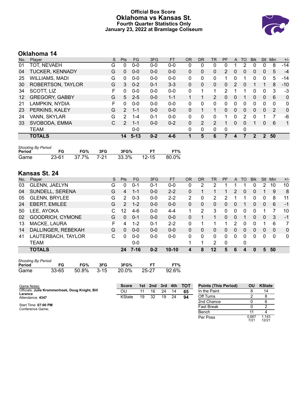### **Official Box Score Oklahoma vs Kansas St. Fourth Quarter Statistics Only January 23, 2022 at Bramlage Coliseum**



# **Oklahoma 14**

| No.               | Player                 | S | <b>Pts</b> | <b>FG</b> | 3FG     | <b>FT</b> | <b>OR</b> | <b>DR</b>    | TR | PF | A            | TO       | <b>BIK</b> | Stl           | Min      | $+/-$        |
|-------------------|------------------------|---|------------|-----------|---------|-----------|-----------|--------------|----|----|--------------|----------|------------|---------------|----------|--------------|
| 01                | TOT, NEVAEH            | G | 0          | $0 - 0$   | $0-0$   | $0-0$     | 0         | 0            | 0  | 0  |              |          |            | 0             | 8        | $-14$        |
| 04                | <b>TUCKER, KENNADY</b> | G | 0          | $0 - 0$   | $0 - 0$ | $0 - 0$   | 0         | $\mathbf{0}$ | 0  | 2  | 0            | 0        | 0          | 0             | 5        | $-4$         |
| 25                | <b>WILLIAMS, MADI</b>  | G | 0          | $0 - 0$   | $0 - 0$ | $0 - 0$   | 0         | 0            | 0  |    |              |          | 0          | 0             | 5        | -14          |
| 30                | ROBERTSON, TAYLOR      | G | 3          | $0 - 2$   | $0 - 1$ | $3 - 3$   | $\Omega$  | 0            | 0  | 0  | 2            | 0        | 1          |               | 8        | $-10$        |
| 34                | SCOTT, LIZ             | F | 0          | $0 - 0$   | $0 - 0$ | $0 - 0$   | 0         |              | 1  | 2  |              |          | 0          | $\mathbf{0}$  | 3        | -3           |
| $12 \overline{ }$ | <b>GREGORY, GABBY</b>  | G | 5          | $2 - 5$   | $0 - 0$ | $1 - 1$   |           |              | 2  | 0  | $\mathbf{0}$ |          | 0          | $\mathbf{0}$  | 6        | $\mathbf{0}$ |
| 21                | LAMPKIN, NYDIA         | F | 0          | $0 - 0$   | $0 - 0$ | $0 - 0$   | 0         | 0            | 0  | 0  | $\Omega$     | $\Omega$ | 0          | $\Omega$      | $\Omega$ | $\mathbf{0}$ |
| 23                | PERKINS, KALEY         | G | 2          | $1 - 1$   | $0 - 0$ | $0 - 0$   | 0         |              |    | 0  | $\mathbf{0}$ | 0        | 0          | $\mathbf{0}$  | 2        | $\mathbf{0}$ |
| 24                | VANN, SKYLAR           | G | 2          | 1-4       | $0 - 1$ | $0 - 0$   | 0         | 0            | 0  |    | 0            | 2        | 0          |               |          | -6           |
| 33                | SVOBODA, EMMA          | C | 2          | $1 - 1$   | $0 - 0$ | $0 - 2$   | $\Omega$  | 2            | 2  |    | $\Omega$     | 0        | 1          | $\mathbf{0}$  | 6        | $\mathbf{1}$ |
|                   | <b>TEAM</b>            |   |            | $0 - 0$   |         |           | 0         | 0            | 0  | 0  |              | 0        |            |               |          |              |
|                   | <b>TOTALS</b>          |   | 14         | $5 - 13$  | $0 - 2$ | $4 - 6$   |           | 5            | 6  | 7  | 4            |          | 2          | $\mathcal{P}$ | 50       |              |

| <b>Shooting By Period</b> |       |     |     |                        |           |       |  |  |  |  |  |
|---------------------------|-------|-----|-----|------------------------|-----------|-------|--|--|--|--|--|
| Period                    | FG    | FG% | 3FG | 3FG%                   | <b>FT</b> | FT%   |  |  |  |  |  |
| Game                      | 23-61 |     |     | 37.7% 7-21 33.3% 12-15 |           | 80.0% |  |  |  |  |  |

# **Kansas St. 24**

| No. | Plaver               | S  | <b>Pts</b> | FG      | 3FG     | <b>FT</b> | 0R       | DR | TR           | PF | $\mathsf{A}$   | TO | <b>B</b> lk | Stl | Min      | $+/-$        |
|-----|----------------------|----|------------|---------|---------|-----------|----------|----|--------------|----|----------------|----|-------------|-----|----------|--------------|
| 03  | GLENN, JAELYN        | G  | 0          | $0 - 1$ | $0 - 1$ | $0-0$     | 0        | 2  | 2            |    |                |    | 0           | 2   | 10       | 10           |
| 04  | SUNDELL, SERENA      | G  | 4          | 1-1     | $0 - 0$ | $2 - 2$   | 0        |    | 1.           |    | $\mathcal{P}$  | 0  | 0           |     | 9        | 8            |
| 05  | <b>GLENN, BRYLEE</b> | G  | 2          | $0 - 3$ | $0 - 0$ | $2 - 2$   | 2        | 0  | 2            | 2  |                |    | 0           | 0   | 8        | 11           |
| 24  | <b>EBERT, EMILEE</b> | G  | 2          | $1 - 2$ | $0 - 0$ | $0-0$     | 0        | 0  | 0            | 0  | $\overline{0}$ |    | 0           | 0   | 6        | $-1$         |
| 50  | LEE, AYOKA           | C. | 12         | $4-6$   | $0 - 0$ | $4 - 4$   | 1        | 2  | 3            | 0  | 0              | 0  | 0           |     |          | 10           |
| 02  | GOODRICH, CYMONE     | G  | 0          | $0 - 1$ | $0 - 0$ | $0 - 0$   | 0        |    |              | 0  | $\Omega$       |    | 0           | 0   | 3        | $-1$         |
| 13  | MACKE, LAURA         | F  | 4          | $1 - 2$ | $0 - 1$ | $2 - 2$   | 0        |    |              |    | 2              | 0  | O           |     | 6        | 7            |
| 14  | DALLINGER, REBEKAH   | G  | 0          | $0 - 0$ | $0 - 0$ | $0 - 0$   | $\Omega$ | 0  | 0            | 0  | $\Omega$       | 0  | 0           | 0   | $\Omega$ | $\mathbf{0}$ |
| 41  | LAUTERBACH, TAYLOR   | С  | U          | $0 - 0$ | $0 - 0$ | $0 - 0$   | 0        | 0  | $\mathbf{0}$ | 0  | 0              | 0  | 0           | 0   | $\Omega$ | $\mathbf 0$  |
|     | <b>TEAM</b>          |    |            | $0 - 0$ |         |           |          | 1  | 2            | 0  |                | 0  |             |     |          |              |
|     | <b>TOTALS</b>        |    | 24         | 7-16    | $0 - 2$ | $10 - 10$ | 4        | 8  | 12           | 5  | 6              | Δ  |             | 5   | 50       |              |

| <b>Shooting By Period</b> |       |       |        |       |       |       |  |  |  |  |  |  |
|---------------------------|-------|-------|--------|-------|-------|-------|--|--|--|--|--|--|
| Period                    | FG    | FG%   | 3FG    | 3FG%  | FT.   | FT%   |  |  |  |  |  |  |
| Game                      | 33-65 | 50.8% | $3-15$ | 20.0% | 25-27 | 92.6% |  |  |  |  |  |  |

| Game Notes:                                     | <b>Score</b>  | 1st | 2nd 3rd |    | 4th | <b>- тот</b> | <b>Points (This Period)</b> | OU            | <b>KState</b>  |
|-------------------------------------------------|---------------|-----|---------|----|-----|--------------|-----------------------------|---------------|----------------|
| Officials: Julie Krommenhoek, Doug Knight, Bill | OU            | 11  | 16      | 24 | 14  | 65           | In the Paint                |               | 14             |
| Larance<br>Attendance: 4347                     | <b>KState</b> | 19  | 32      | 19 | 24  | 94           | Off Turns                   |               |                |
|                                                 |               |     |         |    |     |              | 2nd Chance                  |               | 6              |
| Start Time: 07:00 PM<br>Conference Game;        |               |     |         |    |     |              | <b>Fast Break</b>           |               |                |
|                                                 |               |     |         |    |     |              | Bench                       |               |                |
|                                                 |               |     |         |    |     |              | Per Poss                    | 0.667<br>7/21 | 1.143<br>12/21 |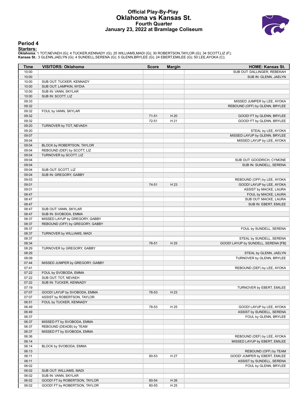#### **Official Play-By-Play Oklahoma vs Kansas St. Fourth Quarter January 23, 2022 at Bramlage Coliseum**



#### **Period 4**

<mark>Startersː</mark><br>Oklahoma: 1 TOT,NEVAEH (G); 4 TUCKER,KENNADY (G); 25 WILLIAMS,MADI (G); 30 ROBERTSON,TAYLOR (G); 34 SCOTT,LIZ (F);<br>**Kansas St.**: 3 GLENN,JAELYN (G); 4 SUNDELL,SERENA (G); 5 GLENN,BRYLEE (G); 24 EBERT,EMILEE (G)

| <b>Time</b> | <b>VISITORS: Oklahoma</b>       | <b>Score</b> | <b>Margin</b> | HOME: Kansas St.                    |
|-------------|---------------------------------|--------------|---------------|-------------------------------------|
| 10:00       |                                 |              |               | SUB OUT: DALLINGER, REBEKAH         |
| 10:00       |                                 |              |               | SUB IN: GLENN, JAELYN               |
| 10:00       | SUB OUT: TUCKER, KENNADY        |              |               |                                     |
| 10:00       | SUB OUT: LAMPKIN, NYDIA         |              |               |                                     |
| 10:00       | SUB IN: VANN, SKYLAR            |              |               |                                     |
| 10:00       | SUB IN: SCOTT, LIZ              |              |               |                                     |
| 09:33       |                                 |              |               | MISSED JUMPER by LEE, AYOKA         |
| 09:32       |                                 |              |               | REBOUND (OFF) by GLENN, BRYLEE      |
| 09:32       | FOUL by VANN, SKYLAR            |              |               |                                     |
| 09:32       |                                 | $71-51$      | H 20          | GOOD! FT by GLENN, BRYLEE           |
| 09:32       |                                 | 72-51        | H 21          | GOOD! FT by GLENN, BRYLEE           |
| 09:20       | TURNOVER by TOT, NEVAEH         |              |               |                                     |
| 09:20       |                                 |              |               | STEAL by LEE, AYOKA                 |
| 09:07       |                                 |              |               | MISSED LAYUP by GLENN, BRYLEE       |
| 09:04       |                                 |              |               | MISSED LAYUP by LEE, AYOKA          |
| 09:04       | BLOCK by ROBERTSON, TAYLOR      |              |               |                                     |
| 09:04       | REBOUND (DEF) by SCOTT, LIZ     |              |               |                                     |
| 09:04       | TURNOVER by SCOTT, LIZ          |              |               |                                     |
| 09:04       |                                 |              |               | SUB OUT: GOODRICH, CYMONE           |
| 09:04       |                                 |              |               | SUB IN: SUNDELL, SERENA             |
| 09:04       | SUB OUT: SCOTT, LIZ             |              |               |                                     |
| 09:04       | SUB IN: GREGORY, GABBY          |              |               |                                     |
| 09:03       |                                 |              |               | REBOUND (OFF) by LEE, AYOKA         |
| 09:01       |                                 | 74-51        | H 23          | GOOD! LAYUP by LEE, AYOKA           |
| 09:01       |                                 |              |               | ASSIST by MACKE, LAURA              |
| 08:47       |                                 |              |               | FOUL by MACKE, LAURA                |
| 08:47       |                                 |              |               | SUB OUT: MACKE, LAURA               |
| 08:47       |                                 |              |               | SUB IN: EBERT, EMILEE               |
| 08:47       | SUB OUT: VANN, SKYLAR           |              |               |                                     |
| 08:47       | SUB IN: SVOBODA, EMMA           |              |               |                                     |
| 08:37       | MISSED LAYUP by GREGORY, GABBY  |              |               |                                     |
| 08:37       | REBOUND (OFF) by GREGORY, GABBY |              |               |                                     |
| 08:37       |                                 |              |               | FOUL by SUNDELL, SERENA             |
| 08:37       | TURNOVER by WILLIAMS, MADI      |              |               |                                     |
| 08:37       |                                 |              |               | STEAL by SUNDELL, SERENA            |
| 08:34       |                                 | 76-51        | H 25          | GOOD! LAYUP by SUNDELL, SERENA [FB] |
| 08:29       | TURNOVER by GREGORY, GABBY      |              |               |                                     |
| 08:29       |                                 |              |               | STEAL by GLENN, JAELYN              |
| 08:09       |                                 |              |               | TURNOVER by GLENN, BRYLEE           |
| 07:44       | MISSED JUMPER by GREGORY, GABBY |              |               |                                     |
| 07:41       |                                 |              |               | REBOUND (DEF) by LEE, AYOKA         |
| 07:22       | FOUL by SVOBODA, EMMA           |              |               |                                     |
| 07:22       | SUB OUT: TOT, NEVAEH            |              |               |                                     |
| 07:22       | SUB IN: TUCKER, KENNADY         |              |               |                                     |
| 07:19       |                                 |              |               | TURNOVER by EBERT, EMILEE           |
| 07:07       | GOOD! LAYUP by SVOBODA, EMMA    | 76-53        | H 23          |                                     |
| 07:07       | ASSIST by ROBERTSON, TAYLOR     |              |               |                                     |
| 06:51       | FOUL by TUCKER, KENNADY         |              |               |                                     |
| 06:49       |                                 | 78-53        | H 25          | GOOD! LAYUP by LEE, AYOKA           |
| 06:49       |                                 |              |               | ASSIST by SUNDELL, SERENA           |
| 06:37       |                                 |              |               | FOUL by GLENN, BRYLEE               |
| 06:37       | MISSED FT by SVOBODA, EMMA      |              |               |                                     |
| 06:37       | REBOUND (DEADB) by TEAM         |              |               |                                     |
| 06:37       | MISSED FT by SVOBODA, EMMA      |              |               |                                     |
| 06:36       |                                 |              |               | REBOUND (DEF) by LEE, AYOKA         |
| 06:14       |                                 |              |               | MISSED LAYUP by EBERT, EMILEE       |
| 06:14       | BLOCK by SVOBODA, EMMA          |              |               |                                     |
| 06:13       |                                 |              |               | REBOUND (OFF) by TEAM               |
| 06:11       |                                 | 80-53        | H 27          | GOOD! JUMPER by EBERT, EMILEE       |
| 06:11       |                                 |              |               | ASSIST by SUNDELL, SERENA           |
| 06:02       |                                 |              |               | FOUL by GLENN, BRYLEE               |
| 06:02       | SUB OUT: WILLIAMS, MADI         |              |               |                                     |
| 06:02       | SUB IN: VANN, SKYLAR            |              |               |                                     |
| 06:02       | GOOD! FT by ROBERTSON, TAYLOR   | 80-54        | H 26          |                                     |
| 06:02       | GOOD! FT by ROBERTSON, TAYLOR   | 80-55        | H 25          |                                     |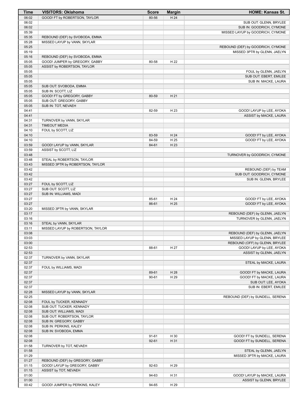| Time           | <b>VISITORS: Oklahoma</b>                                        | <b>Score</b> | <b>Margin</b> | <b>HOME: Kansas St.</b>           |
|----------------|------------------------------------------------------------------|--------------|---------------|-----------------------------------|
| 06:02          | GOOD! FT by ROBERTSON, TAYLOR                                    | 80-56        | H 24          |                                   |
| 06:02          |                                                                  |              |               | SUB OUT: GLENN, BRYLEE            |
| 06:02          |                                                                  |              |               | SUB IN: GOODRICH, CYMONE          |
| 05:39          |                                                                  |              |               | MISSED LAYUP by GOODRICH, CYMONE  |
| 05:35<br>05:28 | REBOUND (DEF) by SVOBODA, EMMA<br>MISSED LAYUP by VANN, SKYLAR   |              |               |                                   |
| 05:25          |                                                                  |              |               | REBOUND (DEF) by GOODRICH, CYMONE |
| 05:19          |                                                                  |              |               | MISSED 3PTR by GLENN, JAELYN      |
| 05:16          | REBOUND (DEF) by SVOBODA, EMMA                                   |              |               |                                   |
| 05:05          | GOOD! JUMPER by GREGORY, GABBY                                   | 80-58        | H 22          |                                   |
| 05:05          | ASSIST by ROBERTSON, TAYLOR                                      |              |               |                                   |
| 05:05          |                                                                  |              |               | FOUL by GLENN, JAELYN             |
| 05:05          |                                                                  |              |               | SUB OUT: EBERT, EMILEE            |
| 05:05          |                                                                  |              |               | SUB IN: MACKE, LAURA              |
| 05:05          | SUB OUT: SVOBODA, EMMA                                           |              |               |                                   |
| 05:05<br>05:05 | SUB IN: SCOTT, LIZ<br>GOOD! FT by GREGORY, GABBY                 | 80-59        | H 21          |                                   |
| 05:05          | SUB OUT: GREGORY, GABBY                                          |              |               |                                   |
| 05:05          | SUB IN: TOT, NEVAEH                                              |              |               |                                   |
| 04:41          |                                                                  | 82-59        | H 23          | GOOD! LAYUP by LEE, AYOKA         |
| 04:41          |                                                                  |              |               | ASSIST by MACKE, LAURA            |
| 04:31          | TURNOVER by VANN, SKYLAR                                         |              |               |                                   |
| 04:31          | <b>TIMEOUT MEDIA</b>                                             |              |               |                                   |
| 04:10          | FOUL by SCOTT, LIZ                                               |              |               |                                   |
| 04:10          |                                                                  | 83-59        | H 24          | GOOD! FT by LEE, AYOKA            |
| 04:10          |                                                                  | 84-59        | H 25          | GOOD! FT by LEE, AYOKA            |
| 03:59          | GOOD! LAYUP by VANN, SKYLAR                                      | 84-61        | H 23          |                                   |
| 03:59<br>03:48 | ASSIST by SCOTT, LIZ                                             |              |               | TURNOVER by GOODRICH, CYMONE      |
| 03:48          | STEAL by ROBERTSON, TAYLOR                                       |              |               |                                   |
| 03:43          | MISSED 3PTR by ROBERTSON, TAYLOR                                 |              |               |                                   |
| 03:42          |                                                                  |              |               | REBOUND (DEF) by TEAM             |
| 03:42          |                                                                  |              |               | SUB OUT: GOODRICH, CYMONE         |
| 03:42          |                                                                  |              |               | SUB IN: GLENN, BRYLEE             |
| 03:27          | FOUL by SCOTT, LIZ                                               |              |               |                                   |
| 03:27          | SUB OUT: SCOTT, LIZ                                              |              |               |                                   |
| 03:27          | SUB IN: WILLIAMS, MADI                                           |              |               |                                   |
| 03:27          |                                                                  | 85-61        | H 24<br>H 25  | GOOD! FT by LEE, AYOKA            |
| 03:27<br>03:20 | MISSED 3PTR by VANN, SKYLAR                                      | 86-61        |               | GOOD! FT by LEE, AYOKA            |
| 03:17          |                                                                  |              |               | REBOUND (DEF) by GLENN, JAELYN    |
| 03:16          |                                                                  |              |               | TURNOVER by GLENN, JAELYN         |
| 03:16          | STEAL by VANN, SKYLAR                                            |              |               |                                   |
| 03:11          | MISSED LAYUP by ROBERTSON, TAYLOR                                |              |               |                                   |
| 03:08          |                                                                  |              |               | REBOUND (DEF) by GLENN, JAELYN    |
| 03:03          |                                                                  |              |               | MISSED LAYUP by GLENN, BRYLEE     |
| 03:00          |                                                                  |              |               | REBOUND (OFF) by GLENN, BRYLEE    |
| 02:53          |                                                                  | 88-61        | H 27          | GOOD! LAYUP by LEE, AYOKA         |
| 02:53<br>02:37 | TURNOVER by VANN, SKYLAR                                         |              |               | ASSIST by GLENN, JAELYN           |
| 02:37          |                                                                  |              |               | STEAL by MACKE, LAURA             |
| 02:37          | FOUL by WILLIAMS, MADI                                           |              |               |                                   |
| 02:37          |                                                                  | 89-61        | H 28          | GOOD! FT by MACKE, LAURA          |
| 02:37          |                                                                  | 90-61        | H 29          | GOOD! FT by MACKE, LAURA          |
| 02:37          |                                                                  |              |               | SUB OUT: LEE, AYOKA               |
| 02:37          |                                                                  |              |               | SUB IN: EBERT, EMILEE             |
| 02:28          | MISSED LAYUP by VANN, SKYLAR                                     |              |               |                                   |
| 02:25          |                                                                  |              |               | REBOUND (DEF) by SUNDELL, SERENA  |
| 02:08          | FOUL by TUCKER, KENNADY                                          |              |               |                                   |
| 02:08<br>02:08 | SUB OUT: TUCKER, KENNADY<br>SUB OUT: WILLIAMS, MADI              |              |               |                                   |
| 02:08          | SUB OUT: ROBERTSON, TAYLOR                                       |              |               |                                   |
| 02:08          | SUB IN: GREGORY, GABBY                                           |              |               |                                   |
| 02:08          | SUB IN: PERKINS, KALEY                                           |              |               |                                   |
| 02:08          | SUB IN: SVOBODA, EMMA                                            |              |               |                                   |
| 02:08          |                                                                  | 91-61        | H 30          | GOOD! FT by SUNDELL, SERENA       |
| 02:08          |                                                                  | $92 - 61$    | H 31          | GOOD! FT by SUNDELL, SERENA       |
| 01:58          | TURNOVER by TOT, NEVAEH                                          |              |               |                                   |
| 01:58          |                                                                  |              |               | STEAL by GLENN, JAELYN            |
| 01:29          |                                                                  |              |               | MISSED 3PTR by MACKE, LAURA       |
| 01:27<br>01:15 | REBOUND (DEF) by GREGORY, GABBY<br>GOOD! LAYUP by GREGORY, GABBY | 92-63        | H 29          |                                   |
| 01:15          | ASSIST by TOT, NEVAEH                                            |              |               |                                   |
| 01:00          |                                                                  | 94-63        | H 31          | GOOD! LAYUP by MACKE, LAURA       |
| 01:00          |                                                                  |              |               | ASSIST by GLENN, BRYLEE           |
| 00:42          | GOOD! JUMPER by PERKINS, KALEY                                   | 94-65        | H 29          |                                   |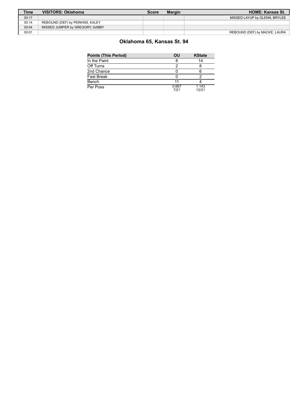| <b>Time</b> | VISITORS: Oklahoma              | Score | <b>Margin</b> | <b>HOME: Kansas St.</b>       |
|-------------|---------------------------------|-------|---------------|-------------------------------|
| 00:17       |                                 |       |               | MISSED LAYUP by GLENN, BRYLEE |
| 00:14       | REBOUND (DEF) by PERKINS, KALEY |       |               |                               |
| 00:04       | MISSED JUMPER by GREGORY, GABBY |       |               |                               |
| 00:01       |                                 |       |               | REBOUND (DEF) by MACKE, LAURA |

# **Oklahoma 65, Kansas St. 94**

| <b>Points (This Period)</b> | OU            | <b>KState</b>  |
|-----------------------------|---------------|----------------|
| In the Paint                |               | 14             |
| Off Turns                   |               |                |
| 2nd Chance                  |               |                |
| Fast Break                  |               |                |
| Bench                       | 11            |                |
| Per Poss                    | 0.667<br>7/21 | 1.143<br>12/21 |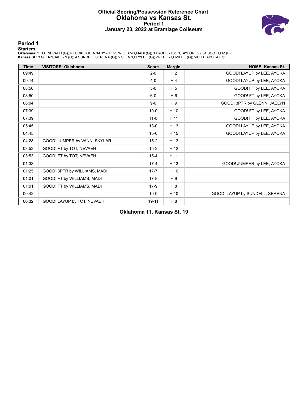#### **Official Scoring/Possession Reference Chart Oklahoma vs Kansas St. Period 1 January 23, 2022 at Bramlage Coliseum**



**Period 1**

<mark>Startersː</mark><br>Oklahoma: 1 TOT,NEVAEH (G); 4 TUCKER,KENNADY (G); 25 WILLIAMS,MADI (G); 30 ROBERTSON,TAYLOR (G); 34 SCOTT,LIZ (F);<br>**Kansas St.**: 3 GLENN,JAELYN (G); 4 SUNDELL,SERENA (G); 5 GLENN,BRYLEE (G); 24 EBERT,EMILEE (G)

| <b>Time</b> | <b>VISITORS: Oklahoma</b>    | <b>Score</b> | <b>Margin</b>  | <b>HOME: Kansas St.</b>        |
|-------------|------------------------------|--------------|----------------|--------------------------------|
| 09:49       |                              | $2 - 0$      | H <sub>2</sub> | GOOD! LAYUP by LEE, AYOKA      |
| 09:14       |                              | $4 - 0$      | H <sub>4</sub> | GOOD! LAYUP by LEE, AYOKA      |
| 08:50       |                              | $5-0$        | H <sub>5</sub> | GOOD! FT by LEE, AYOKA         |
| 08:50       |                              | $6-0$        | H 6            | GOOD! FT by LEE, AYOKA         |
| 08:04       |                              | $9-0$        | H 9            | GOOD! 3PTR by GLENN, JAELYN    |
| 07:39       |                              | $10 - 0$     | H 10           | GOOD! FT by LEE, AYOKA         |
| 07:39       |                              | $11 - 0$     | H 11           | GOOD! FT by LEE, AYOKA         |
| 05:45       |                              | $13 - 0$     | H 13           | GOOD! LAYUP by LEE, AYOKA      |
| 04:45       |                              | $15-0$       | H 15           | GOOD! LAYUP by LEE, AYOKA      |
| 04:28       | GOOD! JUMPER by VANN, SKYLAR | $15-2$       | H 13           |                                |
| 03:53       | GOOD! FT by TOT, NEVAEH      | $15-3$       | H 12           |                                |
| 03:53       | GOOD! FT by TOT, NEVAEH      | $15 - 4$     | H 11           |                                |
| 01:33       |                              | $17 - 4$     | H 13           | GOOD! JUMPER by LEE, AYOKA     |
| 01:25       | GOOD! 3PTR by WILLIAMS, MADI | $17 - 7$     | H 10           |                                |
| 01:01       | GOOD! FT by WILLIAMS, MADI   | $17-8$       | H 9            |                                |
| 01:01       | GOOD! FT by WILLIAMS, MADI   | $17-9$       | H 8            |                                |
| 00:42       |                              | $19-9$       | H 10           | GOOD! LAYUP by SUNDELL, SERENA |
| 00:32       | GOOD! LAYUP by TOT, NEVAEH   | 19-11        | H <sub>8</sub> |                                |

**Oklahoma 11, Kansas St. 19**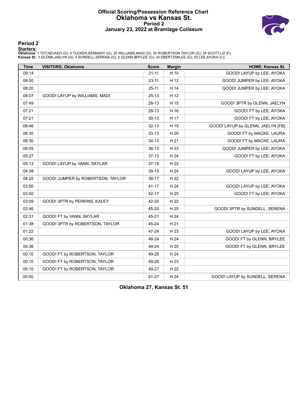#### **Official Scoring/Possession Reference Chart Oklahoma vs Kansas St. Period 2 January 23, 2022 at Bramlage Coliseum**



**Period 2**

<mark>Startersː</mark><br>Oklahoma: 1 TOT,NEVAEH (G); 4 TUCKER,KENNADY (G); 25 WILLIAMS,MADI (G); 30 ROBERTSON,TAYLOR (G); 34 SCOTT,LIZ (F);<br>**Kansas St.**: 3 GLENN,JAELYN (G); 4 SUNDELL,SERENA (G); 5 GLENN,BRYLEE (G); 24 EBERT,EMILEE (G)

| <b>Time</b> | <b>VISITORS: Oklahoma</b>         | <b>Score</b> | <b>Margin</b> | <b>HOME: Kansas St.</b>           |
|-------------|-----------------------------------|--------------|---------------|-----------------------------------|
| 09:14       |                                   | $21 - 11$    | H 10          | GOOD! LAYUP by LEE, AYOKA         |
| 08:50       |                                   | $23 - 11$    | H 12          | GOOD! JUMPER by LEE, AYOKA        |
| 08:20       |                                   | $25 - 11$    | H 14          | GOOD! JUMPER by LEE, AYOKA        |
| 08:07       | GOOD! LAYUP by WILLIAMS, MADI     | $25-13$      | H 12          |                                   |
| 07:49       |                                   | 28-13        | H 15          | GOOD! 3PTR by GLENN, JAELYN       |
| 07:21       |                                   | 29-13        | H 16          | GOOD! FT by LEE, AYOKA            |
| 07:21       |                                   | $30 - 13$    | H 17          | GOOD! FT by LEE, AYOKA            |
| 06:46       |                                   | $32 - 13$    | H 19          | GOOD! LAYUP by GLENN, JAELYN [FB] |
| 06:30       |                                   | $33 - 13$    | H 20          | GOOD! FT by MACKE, LAURA          |
| 06:30       |                                   | $34-13$      | H 21          | GOOD! FT by MACKE, LAURA          |
| 06:05       |                                   | $36-13$      | H 23          | GOOD! JUMPER by LEE, AYOKA        |
| 05:27       |                                   | $37-13$      | H 24          | GOOD! FT by LEE, AYOKA            |
| 05:13       | GOOD! LAYUP by VANN, SKYLAR       | $37-15$      | H 22          |                                   |
| 04:38       |                                   | 39-15        | H 24          | GOOD! LAYUP by LEE, AYOKA         |
| 04:25       | GOOD! JUMPER by ROBERTSON, TAYLOR | $39-17$      | H 22          |                                   |
| 03:50       |                                   | $41 - 17$    | H 24          | GOOD! LAYUP by LEE, AYOKA         |
| 03:50       |                                   | 42-17        | H 25          | GOOD! FT by LEE, AYOKA            |
| 03:09       | GOOD! 3PTR by PERKINS, KALEY      | 42-20        | H 22          |                                   |
| 02:46       |                                   | 45-20        | H 25          | GOOD! 3PTR by SUNDELL, SERENA     |
| 02:31       | GOOD! FT by VANN, SKYLAR          | 45-21        | H 24          |                                   |
| 01:38       | GOOD! 3PTR by ROBERTSON, TAYLOR   | 45-24        | H 21          |                                   |
| 01:22       |                                   | 47-24        | H 23          | GOOD! LAYUP by LEE, AYOKA         |
| 00:36       |                                   | 48-24        | H 24          | GOOD! FT by GLENN, BRYLEE         |
| 00:36       |                                   | 49-24        | H 25          | GOOD! FT by GLENN, BRYLEE         |
| 00:10       | GOOD! FT by ROBERTSON, TAYLOR     | 49-25        | H 24          |                                   |
| 00:10       | GOOD! FT by ROBERTSON, TAYLOR     | 49-26        | H 23          |                                   |
| 00:10       | GOOD! FT by ROBERTSON, TAYLOR     | 49-27        | H 22          |                                   |
| 00:00       |                                   | 51-27        | H 24          | GOOD! LAYUP by SUNDELL, SERENA    |

**Oklahoma 27, Kansas St. 51**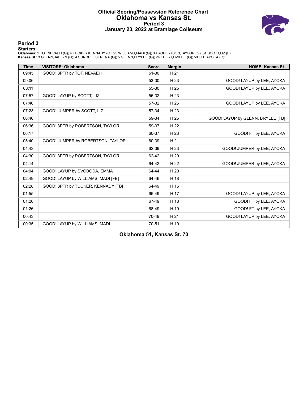#### **Official Scoring/Possession Reference Chart Oklahoma vs Kansas St. Period 3 January 23, 2022 at Bramlage Coliseum**



#### **Period 3**

<mark>Startersː</mark><br>Oklahoma: 1 TOT,NEVAEH (G); 4 TUCKER,KENNADY (G); 25 WILLIAMS,MADI (G); 30 ROBERTSON,TAYLOR (G); 34 SCOTT,LIZ (F);<br>**Kansas St.**: 3 GLENN,JAELYN (G); 4 SUNDELL,SERENA (G); 5 GLENN,BRYLEE (G); 24 EBERT,EMILEE (G)

| <b>Time</b> | <b>VISITORS: Oklahoma</b>          | <b>Score</b> | <b>Margin</b> | <b>HOME: Kansas St.</b>           |
|-------------|------------------------------------|--------------|---------------|-----------------------------------|
| 09:45       | GOOD! 3PTR by TOT, NEVAEH          | 51-30        | H 21          |                                   |
| 09:06       |                                    | 53-30        | H 23          | GOOD! LAYUP by LEE, AYOKA         |
| 08:11       |                                    | 55-30        | H 25          | GOOD! LAYUP by LEE, AYOKA         |
| 07:57       | GOOD! LAYUP by SCOTT, LIZ          | 55-32        | H 23          |                                   |
| 07:40       |                                    | 57-32        | H 25          | GOOD! LAYUP by LEE, AYOKA         |
| 07:23       | GOOD! JUMPER by SCOTT, LIZ         | 57-34        | H 23          |                                   |
| 06:46       |                                    | 59-34        | H 25          | GOOD! LAYUP by GLENN, BRYLEE [FB] |
| 06:36       | GOOD! 3PTR by ROBERTSON, TAYLOR    | 59-37        | H 22          |                                   |
| 06:17       |                                    | 60-37        | H 23          | GOOD! FT by LEE, AYOKA            |
| 05:40       | GOOD! JUMPER by ROBERTSON, TAYLOR  | 60-39        | H 21          |                                   |
| 04:43       |                                    | 62-39        | H 23          | GOOD! JUMPER by LEE, AYOKA        |
| 04:30       | GOOD! 3PTR by ROBERTSON, TAYLOR    | 62-42        | H 20          |                                   |
| 04:14       |                                    | 64-42        | H 22          | GOOD! JUMPER by LEE, AYOKA        |
| 04:04       | GOOD! LAYUP by SVOBODA, EMMA       | 64-44        | H 20          |                                   |
| 02:49       | GOOD! LAYUP by WILLIAMS, MADI [FB] | 64-46        | H 18          |                                   |
| 02:28       | GOOD! 3PTR by TUCKER, KENNADY [FB] | 64-49        | H 15          |                                   |
| 01:55       |                                    | 66-49        | H 17          | GOOD! LAYUP by LEE, AYOKA         |
| 01:26       |                                    | 67-49        | H 18          | GOOD! FT by LEE, AYOKA            |
| 01:26       |                                    | 68-49        | H 19          | GOOD! FT by LEE, AYOKA            |
| 00:43       |                                    | 70-49        | H 21          | GOOD! LAYUP by LEE, AYOKA         |
| 00:35       | GOOD! LAYUP by WILLIAMS, MADI      | 70-51        | H 19          |                                   |

**Oklahoma 51, Kansas St. 70**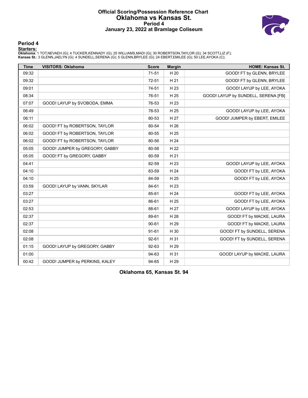#### **Official Scoring/Possession Reference Chart Oklahoma vs Kansas St. Period 4 January 23, 2022 at Bramlage Coliseum**



**Period 4**

<mark>Startersː</mark><br>Oklahoma: 1 TOT,NEVAEH (G); 4 TUCKER,KENNADY (G); 25 WILLIAMS,MADI (G); 30 ROBERTSON,TAYLOR (G); 34 SCOTT,LIZ (F);<br>**Kansas St.**: 3 GLENN,JAELYN (G); 4 SUNDELL,SERENA (G); 5 GLENN,BRYLEE (G); 24 EBERT,EMILEE (G)

| <b>Time</b> | <b>VISITORS: Oklahoma</b>      | <b>Score</b> | <b>Margin</b> | <b>HOME: Kansas St.</b>             |
|-------------|--------------------------------|--------------|---------------|-------------------------------------|
| 09:32       |                                | $71 - 51$    | H 20          | GOOD! FT by GLENN, BRYLEE           |
| 09:32       |                                | $72 - 51$    | H 21          | GOOD! FT by GLENN, BRYLEE           |
| 09:01       |                                | 74-51        | H 23          | GOOD! LAYUP by LEE, AYOKA           |
| 08:34       |                                | 76-51        | H 25          | GOOD! LAYUP by SUNDELL, SERENA [FB] |
| 07:07       | GOOD! LAYUP by SVOBODA, EMMA   | 76-53        | H 23          |                                     |
| 06:49       |                                | 78-53        | H 25          | GOOD! LAYUP by LEE, AYOKA           |
| 06:11       |                                | 80-53        | H 27          | GOOD! JUMPER by EBERT, EMILEE       |
| 06:02       | GOOD! FT by ROBERTSON, TAYLOR  | 80-54        | H 26          |                                     |
| 06:02       | GOOD! FT by ROBERTSON, TAYLOR  | 80-55        | H 25          |                                     |
| 06:02       | GOOD! FT by ROBERTSON, TAYLOR  | 80-56        | H 24          |                                     |
| 05:05       | GOOD! JUMPER by GREGORY, GABBY | 80-58        | H 22          |                                     |
| 05:05       | GOOD! FT by GREGORY, GABBY     | 80-59        | H 21          |                                     |
| 04:41       |                                | 82-59        | H 23          | GOOD! LAYUP by LEE, AYOKA           |
| 04:10       |                                | 83-59        | H 24          | GOOD! FT by LEE, AYOKA              |
| 04:10       |                                | 84-59        | H 25          | GOOD! FT by LEE, AYOKA              |
| 03:59       | GOOD! LAYUP by VANN, SKYLAR    | 84-61        | H 23          |                                     |
| 03:27       |                                | 85-61        | H 24          | GOOD! FT by LEE, AYOKA              |
| 03:27       |                                | 86-61        | H 25          | GOOD! FT by LEE, AYOKA              |
| 02:53       |                                | 88-61        | H 27          | GOOD! LAYUP by LEE, AYOKA           |
| 02:37       |                                | 89-61        | H 28          | GOOD! FT by MACKE, LAURA            |
| 02:37       |                                | $90 - 61$    | H 29          | GOOD! FT by MACKE, LAURA            |
| 02:08       |                                | $91 - 61$    | H 30          | GOOD! FT by SUNDELL, SERENA         |
| 02:08       |                                | $92 - 61$    | H 31          | GOOD! FT by SUNDELL, SERENA         |
| 01:15       | GOOD! LAYUP by GREGORY, GABBY  | 92-63        | H 29          |                                     |
| 01:00       |                                | 94-63        | H 31          | GOOD! LAYUP by MACKE, LAURA         |
| 00:42       | GOOD! JUMPER by PERKINS, KALEY | 94-65        | H 29          |                                     |

**Oklahoma 65, Kansas St. 94**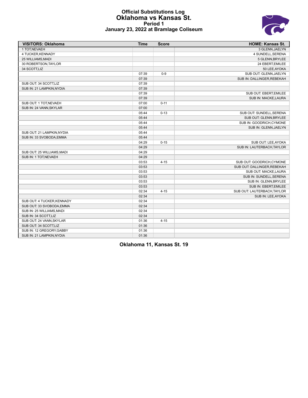#### **Official Substitutions Log Oklahoma vs Kansas St. Period 1 January 23, 2022 at Bramlage Coliseum**

| <b>VISITORS: Oklahoma</b>  | <b>Time</b> | <b>Score</b> | <b>HOME: Kansas St.</b>     |
|----------------------------|-------------|--------------|-----------------------------|
| 1 TOT, NEVAEH              |             |              | 3 GLENN, JAELYN             |
| 4 TUCKER, KENNADY          |             |              | 4 SUNDELL, SERENA           |
| 25 WILLIAMS, MADI          |             |              | 5 GLENN, BRYLEE             |
| 30 ROBERTSON, TAYLOR       |             |              | 24 EBERT, EMILEE            |
| 34 SCOTT,LIZ               |             |              | 50 LEE, AYOKA               |
|                            | 07:39       | $0 - 9$      | SUB OUT: GLENN, JAELYN      |
|                            | 07:39       |              | SUB IN: DALLINGER, REBEKAH  |
| SUB OUT: 34 SCOTT,LIZ      | 07:39       |              |                             |
| SUB IN: 21 LAMPKIN, NYDIA  | 07:39       |              |                             |
|                            | 07:39       |              | SUB OUT: EBERT, EMILEE      |
|                            | 07:39       |              | SUB IN: MACKE, LAURA        |
| SUB OUT: 1 TOT, NEVAEH     | 07:00       | $0 - 11$     |                             |
| SUB IN: 24 VANN, SKYLAR    | 07:00       |              |                             |
|                            | 05:44       | $0 - 13$     | SUB OUT: SUNDELL, SERENA    |
|                            | 05:44       |              | SUB OUT: GLENN, BRYLEE      |
|                            | 05:44       |              | SUB IN: GOODRICH, CYMONE    |
|                            | 05:44       |              | SUB IN: GLENN, JAELYN       |
| SUB OUT: 21 LAMPKIN, NYDIA | 05:44       |              |                             |
| SUB IN: 33 SVOBODA, EMMA   | 05:44       |              |                             |
|                            | 04:29       | $0 - 15$     | SUB OUT: LEE, AYOKA         |
|                            | 04:29       |              | SUB IN: LAUTERBACH, TAYLOR  |
| SUB OUT: 25 WILLIAMS, MADI | 04:29       |              |                             |
| SUB IN: 1 TOT, NEVAEH      | 04:29       |              |                             |
|                            | 03:53       | $4 - 15$     | SUB OUT: GOODRICH, CYMONE   |
|                            | 03:53       |              | SUB OUT: DALLINGER, REBEKAH |
|                            | 03:53       |              | SUB OUT: MACKE, LAURA       |
|                            | 03:53       |              | SUB IN: SUNDELL, SERENA     |
|                            | 03:53       |              | SUB IN: GLENN, BRYLEE       |
|                            | 03:53       |              | SUB IN: EBERT, EMILEE       |
|                            | 02:34       | $4 - 15$     | SUB OUT: LAUTERBACH, TAYLOR |
|                            | 02:34       |              | SUB IN: LEE, AYOKA          |
| SUB OUT: 4 TUCKER, KENNADY | 02:34       |              |                             |
| SUB OUT: 33 SVOBODA, EMMA  | 02:34       |              |                             |
| SUB IN: 25 WILLIAMS, MADI  | 02:34       |              |                             |
| SUB IN: 34 SCOTT, LIZ      | 02:34       |              |                             |
| SUB OUT: 24 VANN, SKYLAR   | 01:36       | $4 - 15$     |                             |
| SUB OUT: 34 SCOTT,LIZ      | 01:36       |              |                             |
| SUB IN: 12 GREGORY GABBY   | 01:36       |              |                             |
| SUB IN: 21 LAMPKIN, NYDIA  | 01:36       |              |                             |

**Oklahoma 11, Kansas St. 19**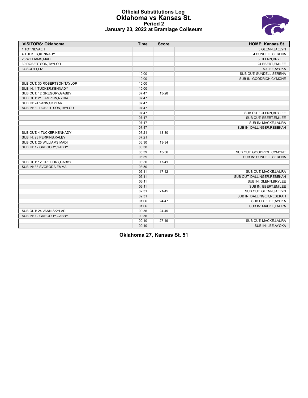

#### **Official Substitutions Log Oklahoma vs Kansas St. Period 2 January 23, 2022 at Bramlage Coliseum**

| <b>VISITORS: Oklahoma</b>     | <b>Time</b> | <b>Score</b> | <b>HOME: Kansas St.</b>     |
|-------------------------------|-------------|--------------|-----------------------------|
| 1 TOT, NEVAEH                 |             |              | 3 GLENN, JAELYN             |
| 4 TUCKER.KENNADY              |             |              | 4 SUNDELL, SERENA           |
| 25 WILLIAMS, MADI             |             |              | 5 GLENN, BRYLEE             |
| 30 ROBERTSON, TAYLOR          |             |              | 24 EBERT, EMILEE            |
| 34 SCOTT,LIZ                  |             |              | 50 LEE, AYOKA               |
|                               | 10:00       |              | SUB OUT: SUNDELL, SERENA    |
|                               | 10:00       |              | SUB IN: GOODRICH, CYMONE    |
| SUB OUT: 30 ROBERTSON, TAYLOR | 10:00       |              |                             |
| SUB IN: 4 TUCKER, KENNADY     | 10:00       |              |                             |
| SUB OUT: 12 GREGORY, GABBY    | 07:47       | $13 - 28$    |                             |
| SUB OUT: 21 LAMPKIN, NYDIA    | 07:47       |              |                             |
| SUB IN: 24 VANN, SKYLAR       | 07:47       |              |                             |
| SUB IN: 30 ROBERTSON, TAYLOR  | 07:47       |              |                             |
|                               | 07:47       |              | SUB OUT: GLENN, BRYLEE      |
|                               | 07:47       |              | SUB OUT: EBERT, EMILEE      |
|                               | 07:47       |              | SUB IN: MACKE, LAURA        |
|                               | 07:47       |              | SUB IN: DALLINGER, REBEKAH  |
| SUB OUT: 4 TUCKER, KENNADY    | 07:21       | 13-30        |                             |
| SUB IN: 23 PERKINS, KALEY     | 07:21       |              |                             |
| SUB OUT: 25 WILLIAMS, MADI    | 06:30       | 13-34        |                             |
| SUB IN: 12 GREGORY, GABBY     | 06:30       |              |                             |
|                               | 05:39       | 13-36        | SUB OUT: GOODRICH, CYMONE   |
|                               | 05:39       |              | SUB IN: SUNDELL, SERENA     |
| SUB OUT: 12 GREGORY, GABBY    | 03:50       | $17 - 41$    |                             |
| SUB IN: 33 SVOBODA, EMMA      | 03:50       |              |                             |
|                               | 03:11       | $17 - 42$    | SUB OUT: MACKE, LAURA       |
|                               | 03:11       |              | SUB OUT: DALLINGER, REBEKAH |
|                               | 03:11       |              | SUB IN: GLENN, BRYLEE       |
|                               | 03:11       |              | SUB IN: EBERT, EMILEE       |
|                               | 02:31       | $21 - 45$    | SUB OUT: GLENN, JAELYN      |
|                               | 02:31       |              | SUB IN: DALLINGER, REBEKAH  |
|                               | 01:06       | $24 - 47$    | SUB OUT: LEE, AYOKA         |
|                               | 01:06       |              | SUB IN: MACKE, LAURA        |
| SUB OUT: 24 VANN, SKYLAR      | 00:36       | 24-49        |                             |
| SUB IN: 12 GREGORY, GABBY     | 00:36       |              |                             |
|                               | 00:10       | $27-49$      | SUB OUT: MACKE, LAURA       |
|                               | 00:10       |              | SUB IN: LEE, AYOKA          |

**Oklahoma 27, Kansas St. 51**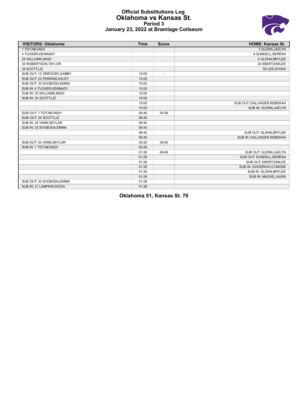#### **Official Substitutions Log Oklahoma vs Kansas St. Period 3 January 23, 2022 at Bramlage Coliseum**



| <b>VISITORS: Oklahoma</b>  | <b>Time</b> | <b>Score</b>             | <b>HOME: Kansas St.</b>     |
|----------------------------|-------------|--------------------------|-----------------------------|
| 1 TOT.NEVAEH               |             |                          | 3 GLENN, JAELYN             |
| 4 TUCKER, KENNADY          |             |                          | 4 SUNDELL, SERENA           |
| 25 WILLIAMS, MADI          |             |                          | 5 GLENN, BRYLEE             |
| 30 ROBERTSON, TAYLOR       |             |                          | 24 EBERT, EMILEE            |
| 34 SCOTT,LIZ               |             |                          | 50 LEE, AYOKA               |
| SUB OUT: 12 GREGORY, GABBY | 10:00       | $\overline{\phantom{a}}$ |                             |
| SUB OUT: 23 PERKINS, KALEY | 10:00       |                          |                             |
| SUB OUT: 33 SVOBODA, EMMA  | 10:00       |                          |                             |
| SUB IN: 4 TUCKER, KENNADY  | 10:00       |                          |                             |
| SUB IN: 25 WILLIAMS, MADI  | 10:00       |                          |                             |
| SUB IN: 34 SCOTT, LIZ      | 10:00       |                          |                             |
|                            | 10:00       |                          | SUB OUT: DALLINGER, REBEKAH |
|                            | 10:00       |                          | SUB IN: GLENN, JAELYN       |
| SUB OUT: 1 TOT, NEVAEH     | 06:40       | 34-59                    |                             |
| SUB OUT: 34 SCOTT,LIZ      | 06:40       |                          |                             |
| SUB IN: 24 VANN, SKYLAR    | 06:40       |                          |                             |
| SUB IN: 33 SVOBODA, EMMA   | 06:40       |                          |                             |
|                            | 06:40       |                          | SUB OUT: GLENN, BRYLEE      |
|                            | 06:40       |                          | SUB IN: DALLINGER, REBEKAH  |
| SUB OUT: 24 VANN, SKYLAR   | 05:26       | 39-60                    |                             |
| SUB IN: 1 TOT, NEVAEH      | 05:26       |                          |                             |
|                            | 01:26       | 49-66                    | SUB OUT: GLENN, JAELYN      |
|                            | 01:26       |                          | SUB OUT: SUNDELL, SERENA    |
|                            | 01:26       |                          | SUB OUT: EBERT, EMILEE      |
|                            | 01:26       |                          | SUB IN: GOODRICH.CYMONE     |
|                            | 01:26       |                          | SUB IN: GLENN, BRYLEE       |
|                            | 01:26       |                          | SUB IN: MACKE, LAURA        |
| SUB OUT: 33 SVOBODA, EMMA  | 01:26       |                          |                             |
| SUB IN: 21 LAMPKIN, NYDIA  | 01:26       |                          |                             |

**Oklahoma 51, Kansas St. 70**